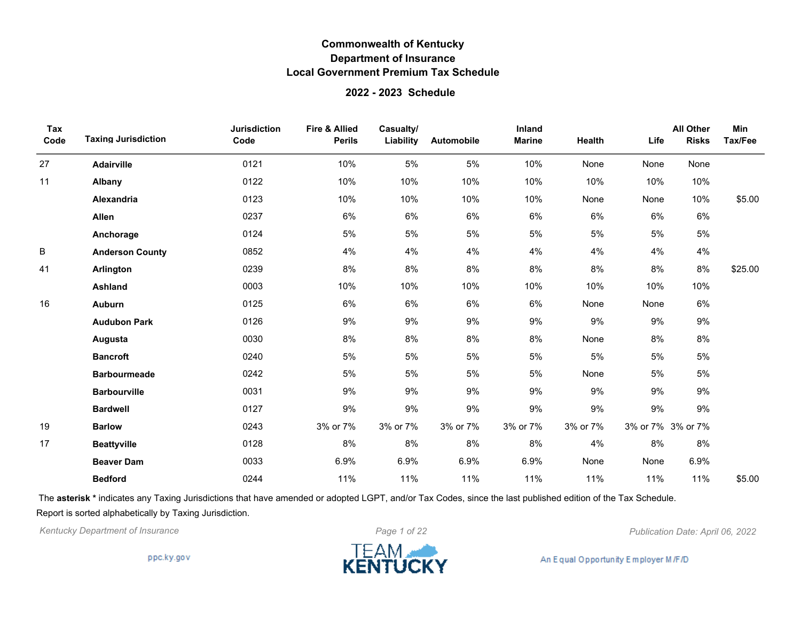#### **2022 - 2023 Schedule**

| Tax<br>Code | <b>Taxing Jurisdiction</b> | <b>Jurisdiction</b><br>Code | <b>Fire &amp; Allied</b><br><b>Perils</b> | Casualty/<br>Liability | Automobile | Inland<br><b>Marine</b> | Health   | Life              | <b>All Other</b><br><b>Risks</b> | Min<br>Tax/Fee |
|-------------|----------------------------|-----------------------------|-------------------------------------------|------------------------|------------|-------------------------|----------|-------------------|----------------------------------|----------------|
| 27          | Adairville                 | 0121                        | 10%                                       | 5%                     | 5%         | 10%                     | None     | None              | None                             |                |
| 11          | Albany                     | 0122                        | 10%                                       | 10%                    | 10%        | 10%                     | 10%      | 10%               | 10%                              |                |
|             | <b>Alexandria</b>          | 0123                        | 10%                                       | 10%                    | 10%        | 10%                     | None     | None              | 10%                              | \$5.00         |
|             | Allen                      | 0237                        | 6%                                        | $6\%$                  | $6\%$      | 6%                      | $6\%$    | 6%                | $6\%$                            |                |
|             | Anchorage                  | 0124                        | 5%                                        | 5%                     | 5%         | 5%                      | 5%       | 5%                | 5%                               |                |
| B           | <b>Anderson County</b>     | 0852                        | 4%                                        | 4%                     | 4%         | 4%                      | 4%       | 4%                | 4%                               |                |
| 41          | Arlington                  | 0239                        | 8%                                        | 8%                     | 8%         | $8\%$                   | 8%       | 8%                | 8%                               | \$25.00        |
|             | <b>Ashland</b>             | 0003                        | 10%                                       | 10%                    | 10%        | 10%                     | 10%      | 10%               | 10%                              |                |
| 16          | Auburn                     | 0125                        | 6%                                        | $6\%$                  | 6%         | $6\%$                   | None     | None              | $6\%$                            |                |
|             | <b>Audubon Park</b>        | 0126                        | 9%                                        | 9%                     | 9%         | $9\%$                   | 9%       | 9%                | $9\%$                            |                |
|             | Augusta                    | 0030                        | 8%                                        | 8%                     | 8%         | 8%                      | None     | 8%                | 8%                               |                |
|             | <b>Bancroft</b>            | 0240                        | 5%                                        | 5%                     | 5%         | 5%                      | 5%       | 5%                | 5%                               |                |
|             | <b>Barbourmeade</b>        | 0242                        | 5%                                        | 5%                     | 5%         | 5%                      | None     | 5%                | 5%                               |                |
|             | <b>Barbourville</b>        | 0031                        | 9%                                        | 9%                     | 9%         | 9%                      | 9%       | 9%                | 9%                               |                |
|             | <b>Bardwell</b>            | 0127                        | 9%                                        | 9%                     | 9%         | 9%                      | $9\%$    | $9\%$             | 9%                               |                |
| 19          | <b>Barlow</b>              | 0243                        | 3% or 7%                                  | 3% or 7%               | 3% or 7%   | 3% or 7%                | 3% or 7% | 3% or 7% 3% or 7% |                                  |                |
| 17          | <b>Beattyville</b>         | 0128                        | 8%                                        | 8%                     | 8%         | $8\%$                   | 4%       | 8%                | 8%                               |                |
|             | <b>Beaver Dam</b>          | 0033                        | 6.9%                                      | 6.9%                   | 6.9%       | 6.9%                    | None     | None              | 6.9%                             |                |
|             | <b>Bedford</b>             | 0244                        | 11%                                       | 11%                    | 11%        | 11%                     | 11%      | 11%               | 11%                              | \$5.00         |

The **asterisk \*** indicates any Taxing Jurisdictions that have amended or adopted LGPT, and/or Tax Codes, since the last published edition of the Tax Schedule. Report is sorted alphabetically by Taxing Jurisdiction.

*Kentucky Department of Insurance Page 1 of 22 Publication Date: April 06, 2022*

ppc.ky.gov

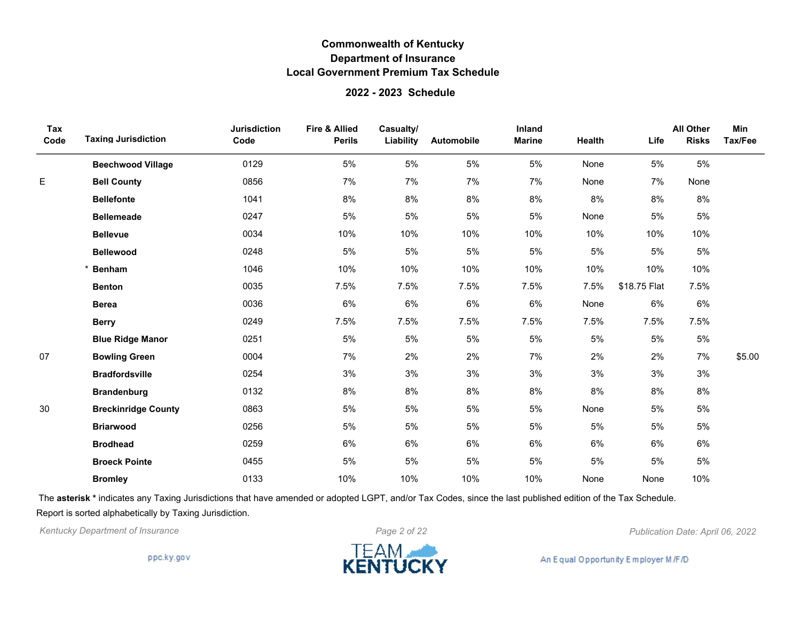#### **2022 - 2023 Schedule**

| Tax<br>Code | <b>Taxing Jurisdiction</b> | <b>Jurisdiction</b><br>Code | <b>Fire &amp; Allied</b><br><b>Perils</b> | Casualty/<br>Liability | Automobile | Inland<br><b>Marine</b> | <b>Health</b> | Life         | <b>All Other</b><br><b>Risks</b> | Min<br>Tax/Fee |
|-------------|----------------------------|-----------------------------|-------------------------------------------|------------------------|------------|-------------------------|---------------|--------------|----------------------------------|----------------|
|             | <b>Beechwood Village</b>   | 0129                        | 5%                                        | 5%                     | 5%         | 5%                      | None          | 5%           | 5%                               |                |
| E           | <b>Bell County</b>         | 0856                        | 7%                                        | 7%                     | 7%         | 7%                      | None          | 7%           | None                             |                |
|             | <b>Bellefonte</b>          | 1041                        | $8\%$                                     | 8%                     | 8%         | $8\%$                   | 8%            | $8%$         | 8%                               |                |
|             | <b>Bellemeade</b>          | 0247                        | 5%                                        | 5%                     | 5%         | 5%                      | None          | 5%           | 5%                               |                |
|             | <b>Bellevue</b>            | 0034                        | 10%                                       | 10%                    | 10%        | 10%                     | 10%           | 10%          | 10%                              |                |
|             | <b>Bellewood</b>           | 0248                        | 5%                                        | 5%                     | 5%         | 5%                      | 5%            | 5%           | 5%                               |                |
|             | <b>Benham</b>              | 1046                        | 10%                                       | 10%                    | 10%        | 10%                     | 10%           | 10%          | 10%                              |                |
|             | <b>Benton</b>              | 0035                        | 7.5%                                      | 7.5%                   | 7.5%       | 7.5%                    | 7.5%          | \$18.75 Flat | 7.5%                             |                |
|             | <b>Berea</b>               | 0036                        | 6%                                        | 6%                     | 6%         | 6%                      | None          | 6%           | 6%                               |                |
|             | <b>Berry</b>               | 0249                        | 7.5%                                      | 7.5%                   | 7.5%       | 7.5%                    | 7.5%          | 7.5%         | 7.5%                             |                |
|             | <b>Blue Ridge Manor</b>    | 0251                        | 5%                                        | 5%                     | 5%         | 5%                      | 5%            | 5%           | 5%                               |                |
| 07          | <b>Bowling Green</b>       | 0004                        | 7%                                        | 2%                     | 2%         | 7%                      | 2%            | 2%           | 7%                               | \$5.00         |
|             | <b>Bradfordsville</b>      | 0254                        | 3%                                        | 3%                     | 3%         | 3%                      | 3%            | 3%           | 3%                               |                |
|             | <b>Brandenburg</b>         | 0132                        | 8%                                        | 8%                     | 8%         | 8%                      | 8%            | 8%           | 8%                               |                |
| 30          | <b>Breckinridge County</b> | 0863                        | 5%                                        | 5%                     | 5%         | 5%                      | None          | 5%           | 5%                               |                |
|             | <b>Briarwood</b>           | 0256                        | 5%                                        | 5%                     | 5%         | 5%                      | 5%            | 5%           | 5%                               |                |
|             | <b>Brodhead</b>            | 0259                        | 6%                                        | 6%                     | 6%         | 6%                      | 6%            | 6%           | 6%                               |                |
|             | <b>Broeck Pointe</b>       | 0455                        | 5%                                        | 5%                     | 5%         | 5%                      | 5%            | 5%           | 5%                               |                |
|             | <b>Bromley</b>             | 0133                        | 10%                                       | 10%                    | 10%        | 10%                     | None          | None         | 10%                              |                |

The **asterisk \*** indicates any Taxing Jurisdictions that have amended or adopted LGPT, and/or Tax Codes, since the last published edition of the Tax Schedule. Report is sorted alphabetically by Taxing Jurisdiction.

*Kentucky Department of Insurance Page 2 of 22 Publication Date: April 06, 2022*

ppc.ky.gov

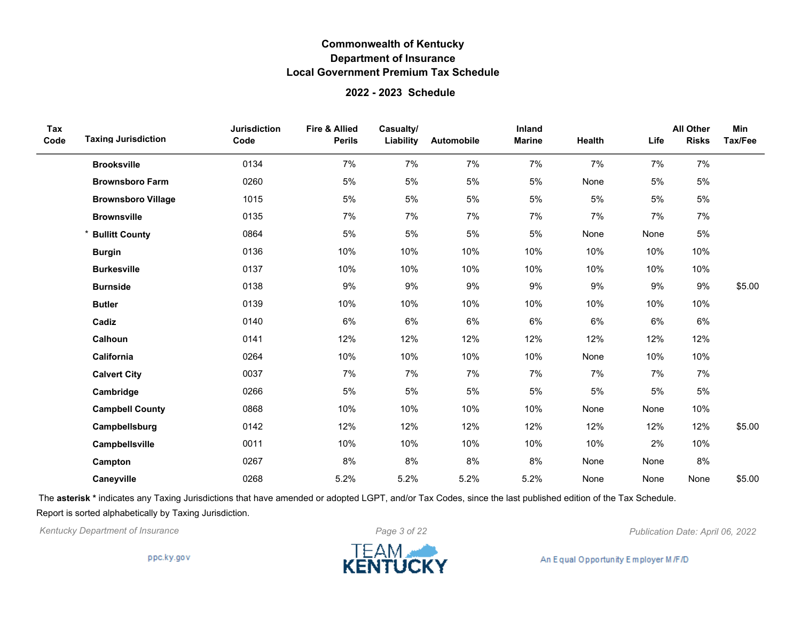### **2022 - 2023 Schedule**

| Tax<br>Code | <b>Taxing Jurisdiction</b> | <b>Jurisdiction</b><br>Code | <b>Fire &amp; Allied</b><br><b>Perils</b> | Casualty/<br>Liability | <b>Automobile</b> | Inland<br><b>Marine</b> | Health | Life | <b>All Other</b><br><b>Risks</b> | Min<br>Tax/Fee |
|-------------|----------------------------|-----------------------------|-------------------------------------------|------------------------|-------------------|-------------------------|--------|------|----------------------------------|----------------|
|             | <b>Brooksville</b>         | 0134                        | 7%                                        | 7%                     | 7%                | 7%                      | 7%     | 7%   | 7%                               |                |
|             | <b>Brownsboro Farm</b>     | 0260                        | 5%                                        | 5%                     | 5%                | 5%                      | None   | 5%   | 5%                               |                |
|             | <b>Brownsboro Village</b>  | 1015                        | 5%                                        | 5%                     | 5%                | 5%                      | 5%     | 5%   | 5%                               |                |
|             | <b>Brownsville</b>         | 0135                        | 7%                                        | 7%                     | 7%                | 7%                      | 7%     | 7%   | 7%                               |                |
|             | <b>Bullitt County</b>      | 0864                        | 5%                                        | 5%                     | 5%                | 5%                      | None   | None | 5%                               |                |
|             | <b>Burgin</b>              | 0136                        | 10%                                       | 10%                    | 10%               | 10%                     | 10%    | 10%  | 10%                              |                |
|             | <b>Burkesville</b>         | 0137                        | 10%                                       | 10%                    | 10%               | 10%                     | 10%    | 10%  | 10%                              |                |
|             | <b>Burnside</b>            | 0138                        | 9%                                        | 9%                     | 9%                | 9%                      | 9%     | 9%   | 9%                               | \$5.00         |
|             | <b>Butler</b>              | 0139                        | 10%                                       | 10%                    | 10%               | 10%                     | 10%    | 10%  | 10%                              |                |
|             | Cadiz                      | 0140                        | 6%                                        | 6%                     | 6%                | 6%                      | 6%     | 6%   | 6%                               |                |
|             | Calhoun                    | 0141                        | 12%                                       | 12%                    | 12%               | 12%                     | 12%    | 12%  | 12%                              |                |
|             | California                 | 0264                        | 10%                                       | 10%                    | 10%               | 10%                     | None   | 10%  | 10%                              |                |
|             | <b>Calvert City</b>        | 0037                        | 7%                                        | 7%                     | 7%                | 7%                      | 7%     | 7%   | 7%                               |                |
|             | Cambridge                  | 0266                        | 5%                                        | $5\%$                  | 5%                | 5%                      | 5%     | 5%   | 5%                               |                |
|             | <b>Campbell County</b>     | 0868                        | 10%                                       | 10%                    | 10%               | 10%                     | None   | None | 10%                              |                |
|             | Campbellsburg              | 0142                        | 12%                                       | 12%                    | 12%               | 12%                     | 12%    | 12%  | 12%                              | \$5.00         |
|             | Campbellsville             | 0011                        | 10%                                       | 10%                    | 10%               | 10%                     | 10%    | 2%   | 10%                              |                |
|             | Campton                    | 0267                        | 8%                                        | 8%                     | 8%                | 8%                      | None   | None | 8%                               |                |
|             | Caneyville                 | 0268                        | 5.2%                                      | 5.2%                   | 5.2%              | 5.2%                    | None   | None | None                             | \$5.00         |

The **asterisk \*** indicates any Taxing Jurisdictions that have amended or adopted LGPT, and/or Tax Codes, since the last published edition of the Tax Schedule. Report is sorted alphabetically by Taxing Jurisdiction.

*Kentucky Department of Insurance Page 3 of 22 Publication Date: April 06, 2022*

ppc.ky.gov

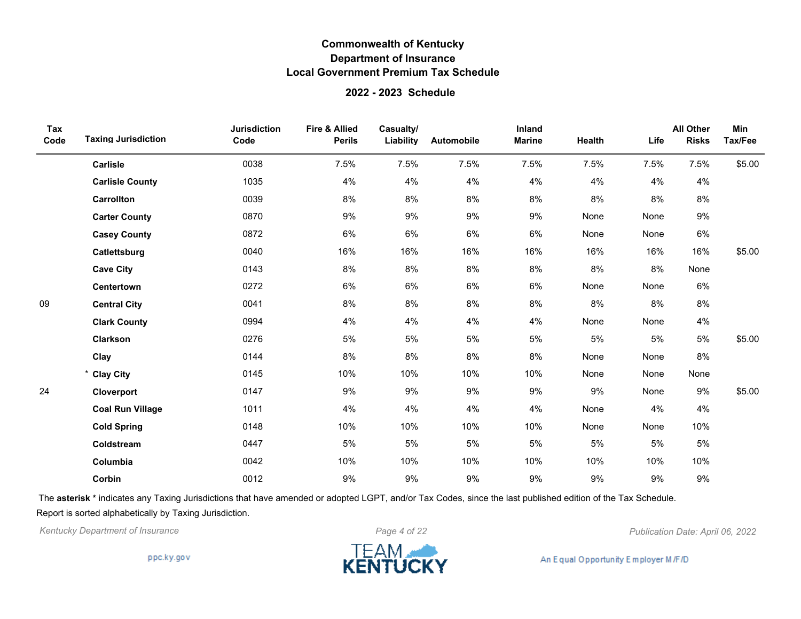#### **2022 - 2023 Schedule**

| Tax<br>Code | <b>Taxing Jurisdiction</b> | <b>Jurisdiction</b><br>Code | <b>Fire &amp; Allied</b><br><b>Perils</b> | Casualty/<br>Liability | Automobile | Inland<br><b>Marine</b> | Health | Life | <b>All Other</b><br><b>Risks</b> | Min<br>Tax/Fee |
|-------------|----------------------------|-----------------------------|-------------------------------------------|------------------------|------------|-------------------------|--------|------|----------------------------------|----------------|
|             | Carlisle                   | 0038                        | 7.5%                                      | 7.5%                   | 7.5%       | 7.5%                    | 7.5%   | 7.5% | 7.5%                             | \$5.00         |
|             | <b>Carlisle County</b>     | 1035                        | 4%                                        | 4%                     | 4%         | 4%                      | 4%     | 4%   | 4%                               |                |
|             | Carrollton                 | 0039                        | 8%                                        | 8%                     | 8%         | 8%                      | 8%     | 8%   | 8%                               |                |
|             | <b>Carter County</b>       | 0870                        | 9%                                        | 9%                     | 9%         | 9%                      | None   | None | 9%                               |                |
|             | <b>Casey County</b>        | 0872                        | 6%                                        | 6%                     | 6%         | 6%                      | None   | None | 6%                               |                |
|             | Catlettsburg               | 0040                        | 16%                                       | 16%                    | 16%        | 16%                     | 16%    | 16%  | 16%                              | \$5.00         |
|             | <b>Cave City</b>           | 0143                        | 8%                                        | 8%                     | 8%         | 8%                      | 8%     | 8%   | None                             |                |
|             | Centertown                 | 0272                        | 6%                                        | 6%                     | 6%         | 6%                      | None   | None | 6%                               |                |
| 09          | <b>Central City</b>        | 0041                        | 8%                                        | 8%                     | 8%         | 8%                      | 8%     | 8%   | 8%                               |                |
|             | <b>Clark County</b>        | 0994                        | 4%                                        | 4%                     | 4%         | 4%                      | None   | None | 4%                               |                |
|             | <b>Clarkson</b>            | 0276                        | 5%                                        | 5%                     | 5%         | 5%                      | 5%     | 5%   | 5%                               | \$5.00         |
|             | Clay                       | 0144                        | 8%                                        | 8%                     | 8%         | 8%                      | None   | None | 8%                               |                |
|             | * Clay City                | 0145                        | 10%                                       | 10%                    | 10%        | 10%                     | None   | None | None                             |                |
| 24          | Cloverport                 | 0147                        | 9%                                        | $9\%$                  | 9%         | 9%                      | 9%     | None | 9%                               | \$5.00         |
|             | <b>Coal Run Village</b>    | 1011                        | 4%                                        | 4%                     | 4%         | 4%                      | None   | 4%   | 4%                               |                |
|             | <b>Cold Spring</b>         | 0148                        | 10%                                       | 10%                    | 10%        | 10%                     | None   | None | 10%                              |                |
|             | Coldstream                 | 0447                        | 5%                                        | 5%                     | 5%         | 5%                      | 5%     | 5%   | 5%                               |                |
|             | Columbia                   | 0042                        | 10%                                       | 10%                    | 10%        | 10%                     | 10%    | 10%  | 10%                              |                |
|             | Corbin                     | 0012                        | 9%                                        | 9%                     | 9%         | 9%                      | 9%     | 9%   | 9%                               |                |

The **asterisk \*** indicates any Taxing Jurisdictions that have amended or adopted LGPT, and/or Tax Codes, since the last published edition of the Tax Schedule. Report is sorted alphabetically by Taxing Jurisdiction.

*Kentucky Department of Insurance Page 4 of 22 Publication Date: April 06, 2022*

ppc.ky.gov

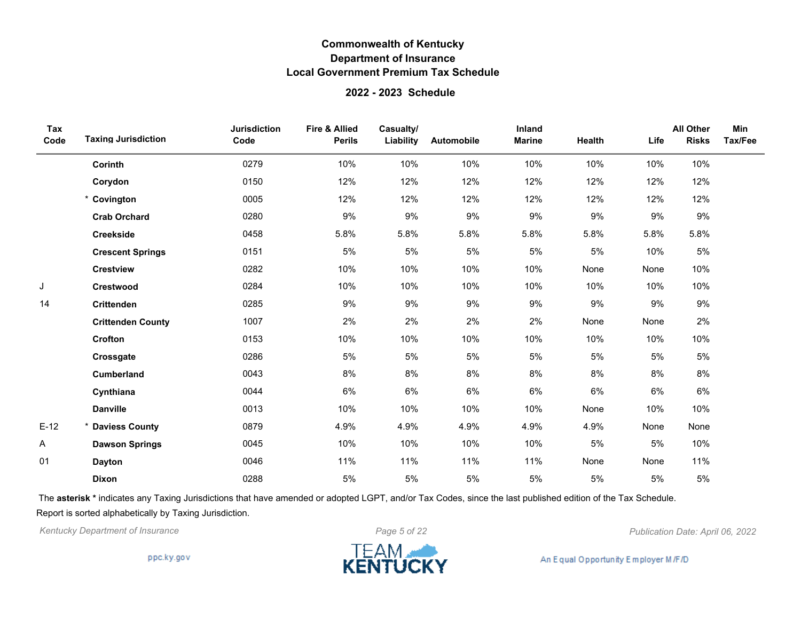### **2022 - 2023 Schedule**

| Tax<br>Code | <b>Taxing Jurisdiction</b> | <b>Jurisdiction</b><br>Code | <b>Fire &amp; Allied</b><br><b>Perils</b> | Casualty/<br>Liability | Automobile | Inland<br><b>Marine</b> | Health | Life | <b>All Other</b><br><b>Risks</b> | Min<br>Tax/Fee |
|-------------|----------------------------|-----------------------------|-------------------------------------------|------------------------|------------|-------------------------|--------|------|----------------------------------|----------------|
|             | Corinth                    | 0279                        | 10%                                       | 10%                    | 10%        | 10%                     | 10%    | 10%  | 10%                              |                |
|             | Corydon                    | 0150                        | 12%                                       | 12%                    | 12%        | 12%                     | 12%    | 12%  | 12%                              |                |
|             | * Covington                | 0005                        | 12%                                       | 12%                    | 12%        | 12%                     | 12%    | 12%  | 12%                              |                |
|             | <b>Crab Orchard</b>        | 0280                        | 9%                                        | 9%                     | 9%         | 9%                      | 9%     | 9%   | 9%                               |                |
|             | <b>Creekside</b>           | 0458                        | 5.8%                                      | 5.8%                   | 5.8%       | 5.8%                    | 5.8%   | 5.8% | 5.8%                             |                |
|             | <b>Crescent Springs</b>    | 0151                        | 5%                                        | 5%                     | 5%         | 5%                      | 5%     | 10%  | 5%                               |                |
|             | <b>Crestview</b>           | 0282                        | 10%                                       | 10%                    | 10%        | 10%                     | None   | None | 10%                              |                |
| J           | Crestwood                  | 0284                        | 10%                                       | 10%                    | 10%        | 10%                     | 10%    | 10%  | 10%                              |                |
| 14          | <b>Crittenden</b>          | 0285                        | 9%                                        | 9%                     | 9%         | $9\%$                   | $9\%$  | 9%   | $9\%$                            |                |
|             | <b>Crittenden County</b>   | 1007                        | 2%                                        | 2%                     | 2%         | 2%                      | None   | None | 2%                               |                |
|             | Crofton                    | 0153                        | 10%                                       | 10%                    | 10%        | 10%                     | 10%    | 10%  | 10%                              |                |
|             | Crossgate                  | 0286                        | 5%                                        | 5%                     | 5%         | 5%                      | 5%     | 5%   | 5%                               |                |
|             | <b>Cumberland</b>          | 0043                        | 8%                                        | 8%                     | 8%         | 8%                      | 8%     | 8%   | 8%                               |                |
|             | Cynthiana                  | 0044                        | $6\%$                                     | 6%                     | 6%         | 6%                      | 6%     | 6%   | 6%                               |                |
|             | <b>Danville</b>            | 0013                        | 10%                                       | 10%                    | 10%        | 10%                     | None   | 10%  | 10%                              |                |
| $E-12$      | * Daviess County           | 0879                        | 4.9%                                      | 4.9%                   | 4.9%       | 4.9%                    | 4.9%   | None | None                             |                |
| A           | <b>Dawson Springs</b>      | 0045                        | 10%                                       | 10%                    | 10%        | 10%                     | 5%     | 5%   | 10%                              |                |
| 01          | <b>Dayton</b>              | 0046                        | 11%                                       | 11%                    | 11%        | 11%                     | None   | None | 11%                              |                |
|             | Dixon                      | 0288                        | 5%                                        | 5%                     | 5%         | 5%                      | 5%     | 5%   | 5%                               |                |

The **asterisk \*** indicates any Taxing Jurisdictions that have amended or adopted LGPT, and/or Tax Codes, since the last published edition of the Tax Schedule. Report is sorted alphabetically by Taxing Jurisdiction.

*Kentucky Department of Insurance Page 5 of 22 Publication Date: April 06, 2022*

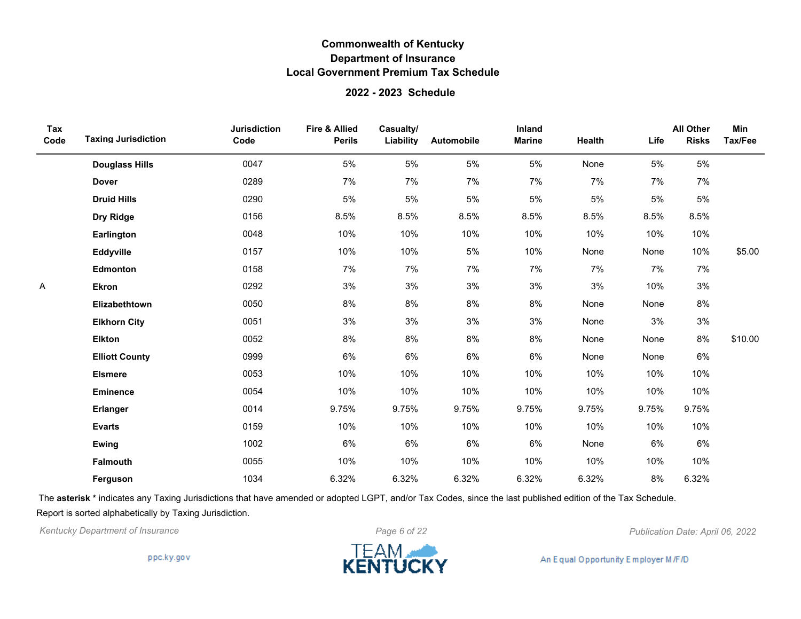#### **2022 - 2023 Schedule**

| Tax<br>Code | <b>Taxing Jurisdiction</b> | <b>Jurisdiction</b><br>Code | <b>Fire &amp; Allied</b><br><b>Perils</b> | Casualty/<br>Liability | Automobile | Inland<br><b>Marine</b> | Health | Life  | <b>All Other</b><br><b>Risks</b> | Min<br>Tax/Fee |
|-------------|----------------------------|-----------------------------|-------------------------------------------|------------------------|------------|-------------------------|--------|-------|----------------------------------|----------------|
|             | <b>Douglass Hills</b>      | 0047                        | 5%                                        | 5%                     | 5%         | $5\%$                   | None   | 5%    | 5%                               |                |
|             | <b>Dover</b>               | 0289                        | 7%                                        | 7%                     | 7%         | 7%                      | 7%     | 7%    | 7%                               |                |
|             | <b>Druid Hills</b>         | 0290                        | 5%                                        | 5%                     | 5%         | 5%                      | 5%     | 5%    | 5%                               |                |
|             | Dry Ridge                  | 0156                        | 8.5%                                      | 8.5%                   | 8.5%       | 8.5%                    | 8.5%   | 8.5%  | 8.5%                             |                |
|             | Earlington                 | 0048                        | 10%                                       | 10%                    | 10%        | 10%                     | 10%    | 10%   | 10%                              |                |
|             | Eddyville                  | 0157                        | 10%                                       | 10%                    | 5%         | 10%                     | None   | None  | 10%                              | \$5.00         |
|             | <b>Edmonton</b>            | 0158                        | 7%                                        | 7%                     | 7%         | 7%                      | 7%     | 7%    | 7%                               |                |
| Α           | <b>Ekron</b>               | 0292                        | 3%                                        | 3%                     | 3%         | 3%                      | $3%$   | 10%   | 3%                               |                |
|             | Elizabethtown              | 0050                        | 8%                                        | 8%                     | 8%         | 8%                      | None   | None  | 8%                               |                |
|             | <b>Elkhorn City</b>        | 0051                        | 3%                                        | 3%                     | 3%         | 3%                      | None   | 3%    | 3%                               |                |
|             | <b>Elkton</b>              | 0052                        | 8%                                        | 8%                     | 8%         | 8%                      | None   | None  | 8%                               | \$10.00        |
|             | <b>Elliott County</b>      | 0999                        | 6%                                        | 6%                     | 6%         | 6%                      | None   | None  | 6%                               |                |
|             | <b>Elsmere</b>             | 0053                        | 10%                                       | 10%                    | 10%        | 10%                     | 10%    | 10%   | 10%                              |                |
|             | Eminence                   | 0054                        | 10%                                       | 10%                    | 10%        | 10%                     | 10%    | 10%   | 10%                              |                |
|             | Erlanger                   | 0014                        | 9.75%                                     | 9.75%                  | 9.75%      | 9.75%                   | 9.75%  | 9.75% | 9.75%                            |                |
|             | <b>Evarts</b>              | 0159                        | 10%                                       | 10%                    | 10%        | 10%                     | 10%    | 10%   | 10%                              |                |
|             | Ewing                      | 1002                        | 6%                                        | 6%                     | 6%         | 6%                      | None   | 6%    | 6%                               |                |
|             | <b>Falmouth</b>            | 0055                        | 10%                                       | 10%                    | 10%        | 10%                     | 10%    | 10%   | 10%                              |                |
|             | Ferguson                   | 1034                        | 6.32%                                     | 6.32%                  | 6.32%      | 6.32%                   | 6.32%  | 8%    | 6.32%                            |                |

The **asterisk \*** indicates any Taxing Jurisdictions that have amended or adopted LGPT, and/or Tax Codes, since the last published edition of the Tax Schedule. Report is sorted alphabetically by Taxing Jurisdiction.

*Kentucky Department of Insurance Page 6 of 22 Publication Date: April 06, 2022*

ppc.ky.gov

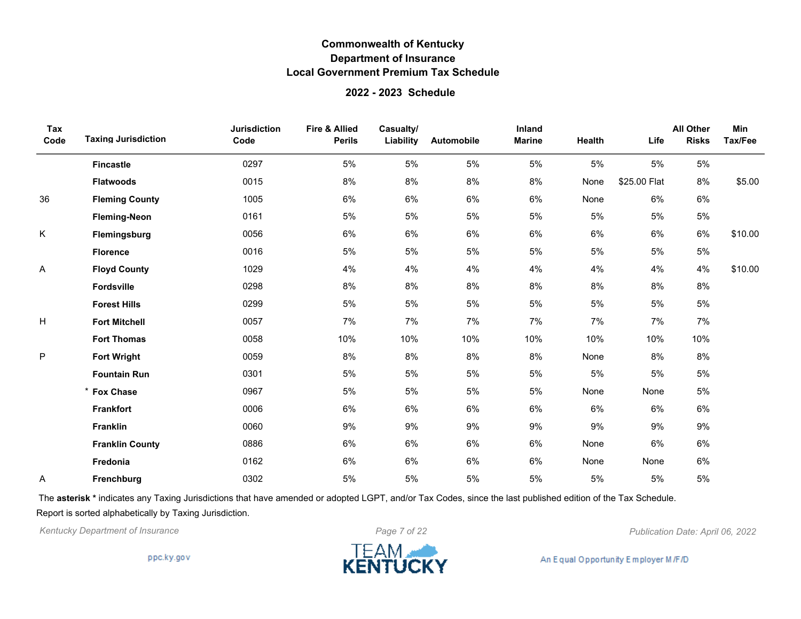### **2022 - 2023 Schedule**

| Tax<br>Code | <b>Taxing Jurisdiction</b> | <b>Jurisdiction</b><br>Code | <b>Fire &amp; Allied</b><br><b>Perils</b> | Casualty/<br>Liability | Automobile | Inland<br><b>Marine</b> | Health | Life         | <b>All Other</b><br><b>Risks</b> | Min<br>Tax/Fee |
|-------------|----------------------------|-----------------------------|-------------------------------------------|------------------------|------------|-------------------------|--------|--------------|----------------------------------|----------------|
|             | <b>Fincastle</b>           | 0297                        | 5%                                        | 5%                     | 5%         | 5%                      | 5%     | 5%           | 5%                               |                |
|             | <b>Flatwoods</b>           | 0015                        | 8%                                        | 8%                     | 8%         | 8%                      | None   | \$25.00 Flat | 8%                               | \$5.00         |
| 36          | <b>Fleming County</b>      | 1005                        | 6%                                        | 6%                     | 6%         | 6%                      | None   | 6%           | 6%                               |                |
|             | <b>Fleming-Neon</b>        | 0161                        | 5%                                        | 5%                     | 5%         | 5%                      | 5%     | 5%           | 5%                               |                |
| Κ           | Flemingsburg               | 0056                        | 6%                                        | $6\%$                  | 6%         | $6\%$                   | 6%     | 6%           | 6%                               | \$10.00        |
|             | <b>Florence</b>            | 0016                        | 5%                                        | 5%                     | 5%         | 5%                      | 5%     | 5%           | 5%                               |                |
| Α           | <b>Floyd County</b>        | 1029                        | 4%                                        | 4%                     | 4%         | 4%                      | 4%     | 4%           | 4%                               | \$10.00        |
|             | Fordsville                 | 0298                        | 8%                                        | 8%                     | 8%         | 8%                      | 8%     | 8%           | 8%                               |                |
|             | <b>Forest Hills</b>        | 0299                        | 5%                                        | 5%                     | 5%         | $5\%$                   | 5%     | 5%           | $5\%$                            |                |
| н           | <b>Fort Mitchell</b>       | 0057                        | 7%                                        | 7%                     | 7%         | 7%                      | 7%     | 7%           | 7%                               |                |
|             | <b>Fort Thomas</b>         | 0058                        | 10%                                       | 10%                    | 10%        | 10%                     | 10%    | 10%          | 10%                              |                |
| P           | <b>Fort Wright</b>         | 0059                        | 8%                                        | 8%                     | 8%         | 8%                      | None   | 8%           | 8%                               |                |
|             | <b>Fountain Run</b>        | 0301                        | 5%                                        | 5%                     | 5%         | 5%                      | 5%     | 5%           | 5%                               |                |
|             | * Fox Chase                | 0967                        | 5%                                        | 5%                     | 5%         | 5%                      | None   | None         | 5%                               |                |
|             | <b>Frankfort</b>           | 0006                        | 6%                                        | 6%                     | 6%         | 6%                      | 6%     | 6%           | 6%                               |                |
|             | <b>Franklin</b>            | 0060                        | 9%                                        | 9%                     | 9%         | 9%                      | 9%     | 9%           | 9%                               |                |
|             | <b>Franklin County</b>     | 0886                        | 6%                                        | 6%                     | 6%         | 6%                      | None   | 6%           | 6%                               |                |
|             | Fredonia                   | 0162                        | 6%                                        | 6%                     | 6%         | 6%                      | None   | None         | 6%                               |                |
| Α           | Frenchburg                 | 0302                        | 5%                                        | 5%                     | 5%         | 5%                      | 5%     | 5%           | 5%                               |                |

The **asterisk \*** indicates any Taxing Jurisdictions that have amended or adopted LGPT, and/or Tax Codes, since the last published edition of the Tax Schedule. Report is sorted alphabetically by Taxing Jurisdiction.



ppc.ky.gov

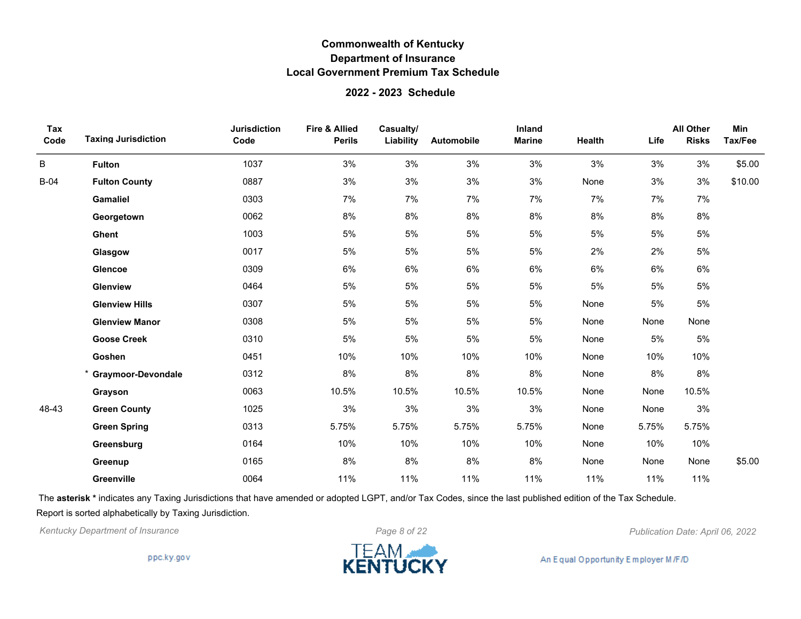#### **2022 - 2023 Schedule**

| Tax<br>Code | <b>Taxing Jurisdiction</b> | <b>Jurisdiction</b><br>Code | Fire & Allied<br><b>Perils</b> | Casualty/<br>Liability | Automobile | Inland<br><b>Marine</b> | Health | Life  | <b>All Other</b><br><b>Risks</b> | Min<br>Tax/Fee |
|-------------|----------------------------|-----------------------------|--------------------------------|------------------------|------------|-------------------------|--------|-------|----------------------------------|----------------|
| B           | <b>Fulton</b>              | 1037                        | 3%                             | 3%                     | 3%         | 3%                      | 3%     | 3%    | 3%                               | \$5.00         |
| $B-04$      | <b>Fulton County</b>       | 0887                        | 3%                             | 3%                     | 3%         | 3%                      | None   | 3%    | 3%                               | \$10.00        |
|             | <b>Gamaliel</b>            | 0303                        | 7%                             | 7%                     | 7%         | 7%                      | 7%     | 7%    | 7%                               |                |
|             | Georgetown                 | 0062                        | 8%                             | $8\%$                  | 8%         | 8%                      | 8%     | 8%    | 8%                               |                |
|             | Ghent                      | 1003                        | 5%                             | 5%                     | 5%         | 5%                      | 5%     | 5%    | 5%                               |                |
|             | Glasgow                    | 0017                        | 5%                             | 5%                     | 5%         | 5%                      | 2%     | 2%    | 5%                               |                |
|             | <b>Glencoe</b>             | 0309                        | 6%                             | 6%                     | 6%         | 6%                      | 6%     | 6%    | 6%                               |                |
|             | Glenview                   | 0464                        | 5%                             | 5%                     | 5%         | 5%                      | 5%     | 5%    | $5\%$                            |                |
|             | <b>Glenview Hills</b>      | 0307                        | 5%                             | 5%                     | 5%         | 5%                      | None   | 5%    | 5%                               |                |
|             | <b>Glenview Manor</b>      | 0308                        | 5%                             | 5%                     | 5%         | 5%                      | None   | None  | None                             |                |
|             | <b>Goose Creek</b>         | 0310                        | 5%                             | 5%                     | 5%         | 5%                      | None   | 5%    | 5%                               |                |
|             | Goshen                     | 0451                        | 10%                            | 10%                    | 10%        | 10%                     | None   | 10%   | 10%                              |                |
|             | <b>Graymoor-Devondale</b>  | 0312                        | 8%                             | 8%                     | $8\%$      | $8\%$                   | None   | 8%    | 8%                               |                |
|             | Grayson                    | 0063                        | 10.5%                          | 10.5%                  | 10.5%      | 10.5%                   | None   | None  | 10.5%                            |                |
| 48-43       | <b>Green County</b>        | 1025                        | 3%                             | 3%                     | 3%         | 3%                      | None   | None  | 3%                               |                |
|             | <b>Green Spring</b>        | 0313                        | 5.75%                          | 5.75%                  | 5.75%      | 5.75%                   | None   | 5.75% | 5.75%                            |                |
|             | Greensburg                 | 0164                        | 10%                            | 10%                    | 10%        | 10%                     | None   | 10%   | 10%                              |                |
|             | Greenup                    | 0165                        | 8%                             | 8%                     | 8%         | 8%                      | None   | None  | None                             | \$5.00         |
|             | Greenville                 | 0064                        | 11%                            | 11%                    | 11%        | 11%                     | 11%    | 11%   | 11%                              |                |

The **asterisk \*** indicates any Taxing Jurisdictions that have amended or adopted LGPT, and/or Tax Codes, since the last published edition of the Tax Schedule. Report is sorted alphabetically by Taxing Jurisdiction.

*Kentucky Department of Insurance Page 8 of 22 Publication Date: April 06, 2022*

ppc.ky.gov

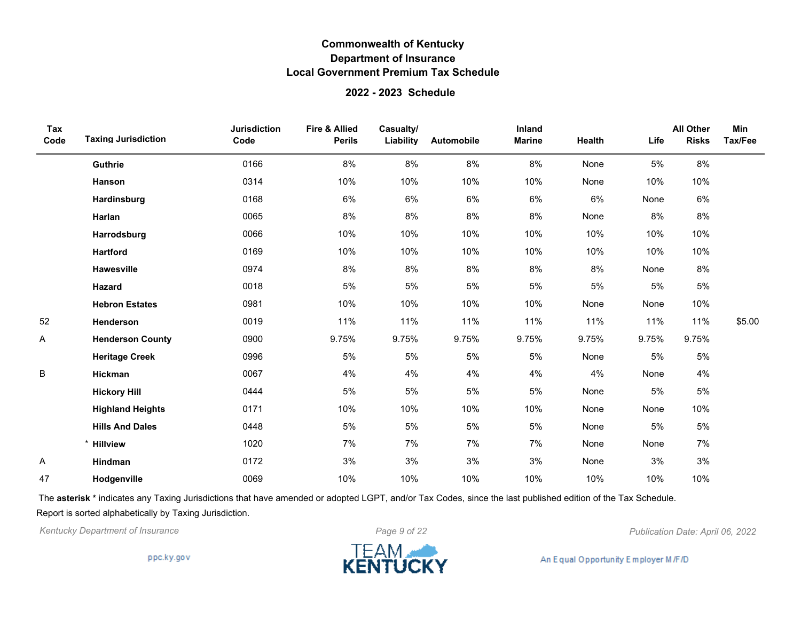#### **2022 - 2023 Schedule**

| Tax<br>Code | <b>Taxing Jurisdiction</b> | <b>Jurisdiction</b><br>Code | Fire & Allied<br><b>Perils</b> | Casualty/<br>Liability | Automobile | Inland<br><b>Marine</b> | Health | Life  | <b>All Other</b><br><b>Risks</b> | Min<br>Tax/Fee |
|-------------|----------------------------|-----------------------------|--------------------------------|------------------------|------------|-------------------------|--------|-------|----------------------------------|----------------|
|             | Guthrie                    | 0166                        | 8%                             | 8%                     | 8%         | $8\%$                   | None   | 5%    | 8%                               |                |
|             | Hanson                     | 0314                        | 10%                            | 10%                    | 10%        | 10%                     | None   | 10%   | 10%                              |                |
|             | Hardinsburg                | 0168                        | 6%                             | 6%                     | 6%         | 6%                      | 6%     | None  | 6%                               |                |
|             | Harlan                     | 0065                        | 8%                             | 8%                     | 8%         | 8%                      | None   | 8%    | 8%                               |                |
|             | Harrodsburg                | 0066                        | 10%                            | 10%                    | 10%        | 10%                     | 10%    | 10%   | 10%                              |                |
|             | <b>Hartford</b>            | 0169                        | 10%                            | 10%                    | 10%        | 10%                     | 10%    | 10%   | 10%                              |                |
|             | Hawesville                 | 0974                        | 8%                             | 8%                     | 8%         | 8%                      | 8%     | None  | 8%                               |                |
|             | <b>Hazard</b>              | 0018                        | 5%                             | 5%                     | 5%         | 5%                      | 5%     | 5%    | 5%                               |                |
|             | <b>Hebron Estates</b>      | 0981                        | 10%                            | 10%                    | 10%        | 10%                     | None   | None  | 10%                              |                |
| 52          | Henderson                  | 0019                        | 11%                            | 11%                    | 11%        | 11%                     | 11%    | 11%   | 11%                              | \$5.00         |
| Α           | <b>Henderson County</b>    | 0900                        | 9.75%                          | 9.75%                  | 9.75%      | 9.75%                   | 9.75%  | 9.75% | 9.75%                            |                |
|             | <b>Heritage Creek</b>      | 0996                        | 5%                             | 5%                     | 5%         | 5%                      | None   | 5%    | 5%                               |                |
| B           | Hickman                    | 0067                        | 4%                             | 4%                     | 4%         | 4%                      | 4%     | None  | 4%                               |                |
|             | <b>Hickory Hill</b>        | 0444                        | 5%                             | 5%                     | 5%         | 5%                      | None   | 5%    | 5%                               |                |
|             | <b>Highland Heights</b>    | 0171                        | 10%                            | 10%                    | 10%        | 10%                     | None   | None  | 10%                              |                |
|             | <b>Hills And Dales</b>     | 0448                        | 5%                             | 5%                     | 5%         | 5%                      | None   | 5%    | 5%                               |                |
|             | <b>Hillview</b>            | 1020                        | 7%                             | 7%                     | 7%         | 7%                      | None   | None  | 7%                               |                |
| Α           | Hindman                    | 0172                        | 3%                             | 3%                     | 3%         | 3%                      | None   | 3%    | 3%                               |                |
| 47          | Hodgenville                | 0069                        | 10%                            | 10%                    | 10%        | 10%                     | 10%    | 10%   | 10%                              |                |

The **asterisk \*** indicates any Taxing Jurisdictions that have amended or adopted LGPT, and/or Tax Codes, since the last published edition of the Tax Schedule. Report is sorted alphabetically by Taxing Jurisdiction.

*Kentucky Department of Insurance Page 9 of 22 Publication Date: April 06, 2022*

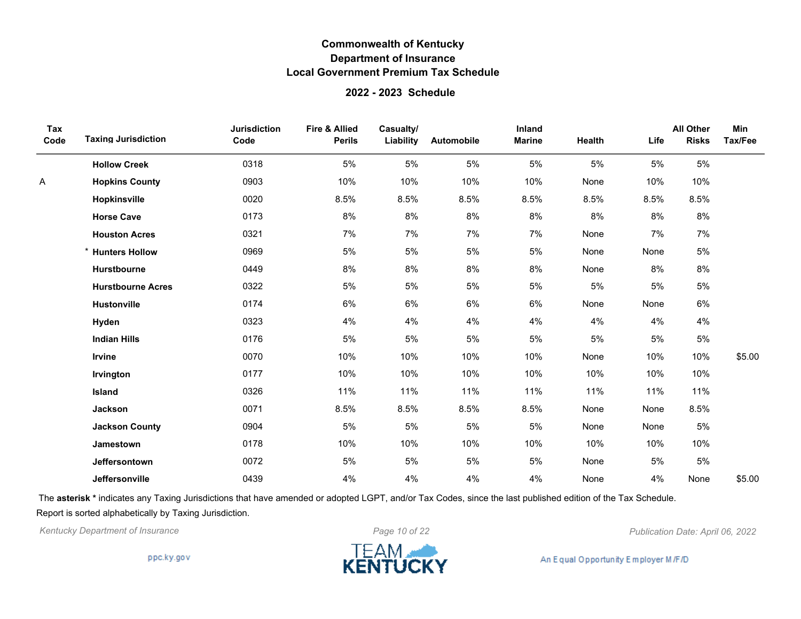#### **2022 - 2023 Schedule**

| Tax<br>Code | <b>Taxing Jurisdiction</b> | <b>Jurisdiction</b><br>Code | <b>Fire &amp; Allied</b><br><b>Perils</b> | Casualty/<br>Liability | Automobile | Inland<br><b>Marine</b> | Health | Life | <b>All Other</b><br><b>Risks</b> | Min<br>Tax/Fee |
|-------------|----------------------------|-----------------------------|-------------------------------------------|------------------------|------------|-------------------------|--------|------|----------------------------------|----------------|
|             | <b>Hollow Creek</b>        | 0318                        | 5%                                        | 5%                     | 5%         | 5%                      | 5%     | 5%   | 5%                               |                |
| Α           | <b>Hopkins County</b>      | 0903                        | 10%                                       | 10%                    | 10%        | 10%                     | None   | 10%  | 10%                              |                |
|             | Hopkinsville               | 0020                        | 8.5%                                      | 8.5%                   | 8.5%       | 8.5%                    | 8.5%   | 8.5% | 8.5%                             |                |
|             | <b>Horse Cave</b>          | 0173                        | 8%                                        | 8%                     | $8\%$      | 8%                      | 8%     | 8%   | $8\%$                            |                |
|             | <b>Houston Acres</b>       | 0321                        | 7%                                        | 7%                     | 7%         | 7%                      | None   | 7%   | 7%                               |                |
|             | <b>Hunters Hollow</b>      | 0969                        | 5%                                        | 5%                     | 5%         | 5%                      | None   | None | 5%                               |                |
|             | Hurstbourne                | 0449                        | 8%                                        | 8%                     | $8\%$      | 8%                      | None   | 8%   | 8%                               |                |
|             | <b>Hurstbourne Acres</b>   | 0322                        | 5%                                        | 5%                     | 5%         | 5%                      | 5%     | 5%   | 5%                               |                |
|             | <b>Hustonville</b>         | 0174                        | 6%                                        | 6%                     | 6%         | 6%                      | None   | None | 6%                               |                |
|             | Hyden                      | 0323                        | 4%                                        | 4%                     | 4%         | 4%                      | 4%     | 4%   | 4%                               |                |
|             | <b>Indian Hills</b>        | 0176                        | 5%                                        | 5%                     | 5%         | 5%                      | 5%     | 5%   | 5%                               |                |
|             | Irvine                     | 0070                        | 10%                                       | 10%                    | 10%        | 10%                     | None   | 10%  | 10%                              | \$5.00         |
|             | Irvington                  | 0177                        | 10%                                       | 10%                    | 10%        | 10%                     | 10%    | 10%  | 10%                              |                |
|             | Island                     | 0326                        | 11%                                       | 11%                    | 11%        | 11%                     | 11%    | 11%  | 11%                              |                |
|             | Jackson                    | 0071                        | 8.5%                                      | 8.5%                   | 8.5%       | 8.5%                    | None   | None | 8.5%                             |                |
|             | <b>Jackson County</b>      | 0904                        | 5%                                        | 5%                     | 5%         | 5%                      | None   | None | 5%                               |                |
|             | <b>Jamestown</b>           | 0178                        | 10%                                       | 10%                    | 10%        | 10%                     | 10%    | 10%  | 10%                              |                |
|             | Jeffersontown              | 0072                        | 5%                                        | 5%                     | 5%         | 5%                      | None   | 5%   | 5%                               |                |
|             | Jeffersonville             | 0439                        | 4%                                        | 4%                     | 4%         | 4%                      | None   | 4%   | None                             | \$5.00         |

The **asterisk \*** indicates any Taxing Jurisdictions that have amended or adopted LGPT, and/or Tax Codes, since the last published edition of the Tax Schedule. Report is sorted alphabetically by Taxing Jurisdiction.



ppc.ky.gov

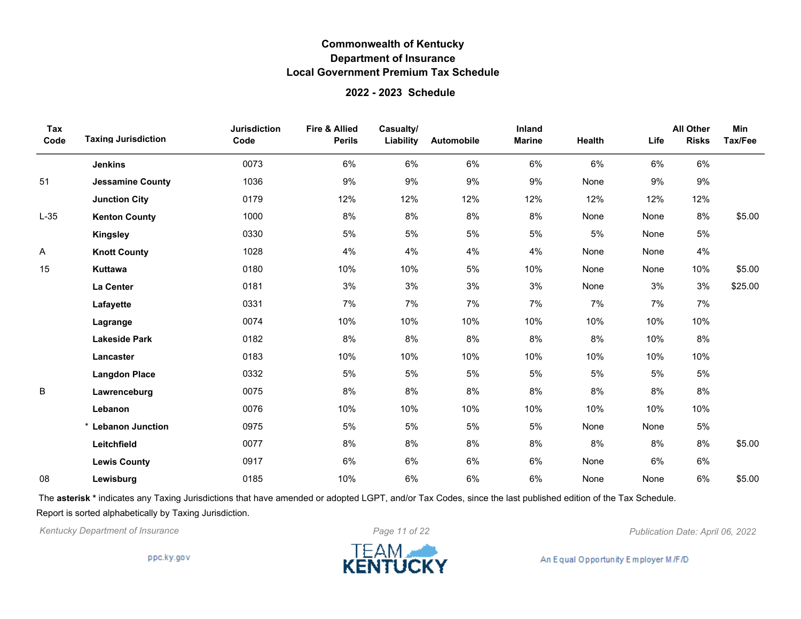#### **2022 - 2023 Schedule**

| Tax<br>Code | <b>Taxing Jurisdiction</b> | <b>Jurisdiction</b><br>Code | <b>Fire &amp; Allied</b><br><b>Perils</b> | Casualty/<br>Liability | Automobile | Inland<br><b>Marine</b> | Health | Life | <b>All Other</b><br><b>Risks</b> | Min<br>Tax/Fee |
|-------------|----------------------------|-----------------------------|-------------------------------------------|------------------------|------------|-------------------------|--------|------|----------------------------------|----------------|
|             | <b>Jenkins</b>             | 0073                        | 6%                                        | 6%                     | 6%         | 6%                      | 6%     | 6%   | 6%                               |                |
| 51          | <b>Jessamine County</b>    | 1036                        | 9%                                        | 9%                     | 9%         | 9%                      | None   | 9%   | 9%                               |                |
|             | <b>Junction City</b>       | 0179                        | 12%                                       | 12%                    | 12%        | 12%                     | 12%    | 12%  | 12%                              |                |
| $L-35$      | <b>Kenton County</b>       | 1000                        | 8%                                        | 8%                     | 8%         | 8%                      | None   | None | 8%                               | \$5.00         |
|             | <b>Kingsley</b>            | 0330                        | 5%                                        | $5\%$                  | 5%         | 5%                      | 5%     | None | 5%                               |                |
| Α           | <b>Knott County</b>        | 1028                        | 4%                                        | 4%                     | 4%         | 4%                      | None   | None | 4%                               |                |
| 15          | <b>Kuttawa</b>             | 0180                        | 10%                                       | 10%                    | 5%         | 10%                     | None   | None | 10%                              | \$5.00         |
|             | La Center                  | 0181                        | 3%                                        | 3%                     | 3%         | 3%                      | None   | 3%   | 3%                               | \$25.00        |
|             | Lafayette                  | 0331                        | 7%                                        | 7%                     | 7%         | 7%                      | 7%     | 7%   | 7%                               |                |
|             | Lagrange                   | 0074                        | 10%                                       | 10%                    | 10%        | 10%                     | 10%    | 10%  | 10%                              |                |
|             | <b>Lakeside Park</b>       | 0182                        | 8%                                        | 8%                     | $8%$       | 8%                      | 8%     | 10%  | 8%                               |                |
|             | Lancaster                  | 0183                        | 10%                                       | 10%                    | 10%        | 10%                     | 10%    | 10%  | 10%                              |                |
|             | <b>Langdon Place</b>       | 0332                        | 5%                                        | 5%                     | 5%         | 5%                      | 5%     | 5%   | $5\%$                            |                |
| B           | Lawrenceburg               | 0075                        | 8%                                        | 8%                     | 8%         | 8%                      | 8%     | 8%   | 8%                               |                |
|             | Lebanon                    | 0076                        | 10%                                       | 10%                    | 10%        | 10%                     | 10%    | 10%  | 10%                              |                |
|             | * Lebanon Junction         | 0975                        | 5%                                        | 5%                     | 5%         | 5%                      | None   | None | $5\%$                            |                |
|             | Leitchfield                | 0077                        | 8%                                        | 8%                     | 8%         | 8%                      | 8%     | 8%   | 8%                               | \$5.00         |
|             | <b>Lewis County</b>        | 0917                        | 6%                                        | 6%                     | 6%         | 6%                      | None   | 6%   | 6%                               |                |
| 08          | Lewisburg                  | 0185                        | 10%                                       | 6%                     | 6%         | 6%                      | None   | None | 6%                               | \$5.00         |

The **asterisk \*** indicates any Taxing Jurisdictions that have amended or adopted LGPT, and/or Tax Codes, since the last published edition of the Tax Schedule. Report is sorted alphabetically by Taxing Jurisdiction.

*Kentucky Department of Insurance Page 11 of 22 Publication Date: April 06, 2022*

ppc.ky.gov

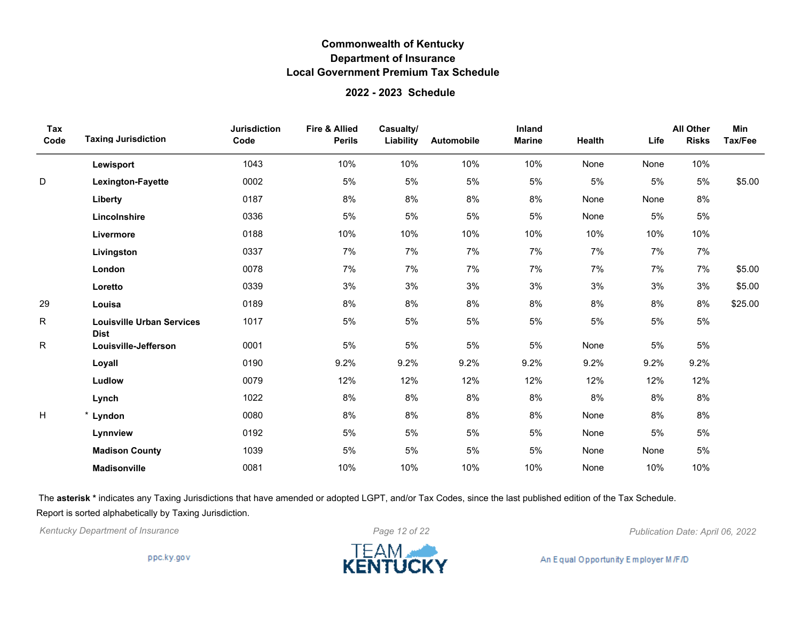### **2022 - 2023 Schedule**

| Tax<br>Code | <b>Taxing Jurisdiction</b>                      | <b>Jurisdiction</b><br>Code | Fire & Allied<br><b>Perils</b> | Casualty/<br>Liability | Automobile | Inland<br><b>Marine</b> | Health | Life | <b>All Other</b><br><b>Risks</b> | Min<br>Tax/Fee |
|-------------|-------------------------------------------------|-----------------------------|--------------------------------|------------------------|------------|-------------------------|--------|------|----------------------------------|----------------|
|             | Lewisport                                       | 1043                        | 10%                            | 10%                    | 10%        | 10%                     | None   | None | 10%                              |                |
| D           | Lexington-Fayette                               | 0002                        | 5%                             | 5%                     | 5%         | 5%                      | 5%     | 5%   | 5%                               | \$5.00         |
|             | Liberty                                         | 0187                        | 8%                             | 8%                     | 8%         | 8%                      | None   | None | 8%                               |                |
|             | Lincolnshire                                    | 0336                        | 5%                             | 5%                     | 5%         | 5%                      | None   | 5%   | 5%                               |                |
|             | Livermore                                       | 0188                        | 10%                            | 10%                    | 10%        | 10%                     | 10%    | 10%  | 10%                              |                |
|             | Livingston                                      | 0337                        | 7%                             | 7%                     | 7%         | 7%                      | 7%     | 7%   | 7%                               |                |
|             | London                                          | 0078                        | 7%                             | 7%                     | 7%         | 7%                      | 7%     | 7%   | 7%                               | \$5.00         |
|             | Loretto                                         | 0339                        | 3%                             | 3%                     | 3%         | 3%                      | 3%     | 3%   | 3%                               | \$5.00         |
| 29          | Louisa                                          | 0189                        | 8%                             | 8%                     | 8%         | 8%                      | 8%     | 8%   | 8%                               | \$25.00        |
| R           | <b>Louisville Urban Services</b><br><b>Dist</b> | 1017                        | 5%                             | 5%                     | 5%         | 5%                      | 5%     | 5%   | 5%                               |                |
| R           | Louisville-Jefferson                            | 0001                        | 5%                             | 5%                     | 5%         | 5%                      | None   | 5%   | 5%                               |                |
|             | Loyall                                          | 0190                        | 9.2%                           | 9.2%                   | 9.2%       | 9.2%                    | 9.2%   | 9.2% | 9.2%                             |                |
|             | Ludlow                                          | 0079                        | 12%                            | 12%                    | 12%        | 12%                     | 12%    | 12%  | 12%                              |                |
|             | Lynch                                           | 1022                        | 8%                             | 8%                     | 8%         | 8%                      | 8%     | 8%   | 8%                               |                |
| H           | * Lyndon                                        | 0080                        | 8%                             | 8%                     | 8%         | 8%                      | None   | 8%   | 8%                               |                |
|             | Lynnview                                        | 0192                        | 5%                             | 5%                     | 5%         | 5%                      | None   | 5%   | 5%                               |                |
|             | <b>Madison County</b>                           | 1039                        | 5%                             | 5%                     | 5%         | 5%                      | None   | None | 5%                               |                |
|             | <b>Madisonville</b>                             | 0081                        | 10%                            | 10%                    | 10%        | 10%                     | None   | 10%  | 10%                              |                |

The **asterisk \*** indicates any Taxing Jurisdictions that have amended or adopted LGPT, and/or Tax Codes, since the last published edition of the Tax Schedule. Report is sorted alphabetically by Taxing Jurisdiction.



*Kentucky Department of Insurance Page 12 of 22 Publication Date: April 06, 2022*

ppc.ky.gov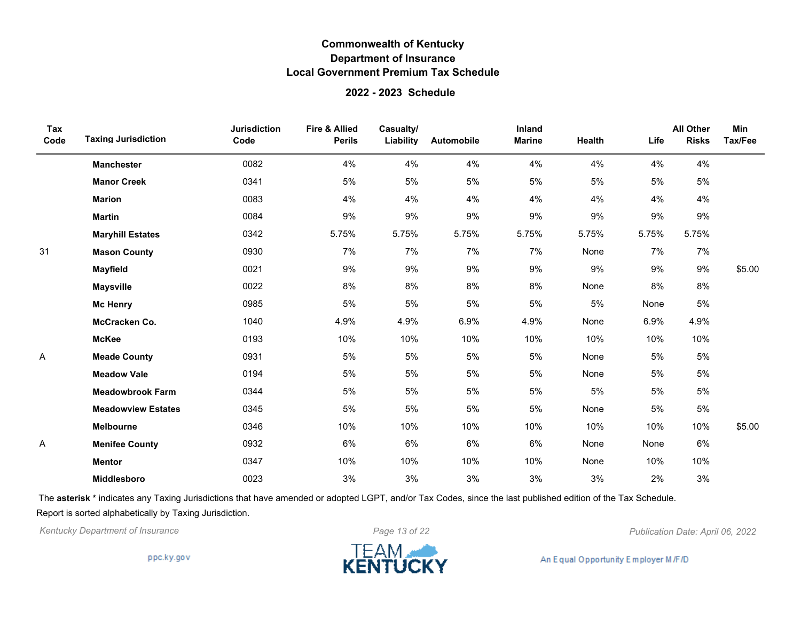### **2022 - 2023 Schedule**

| Tax<br>Code | <b>Taxing Jurisdiction</b> | <b>Jurisdiction</b><br>Code | Fire & Allied<br><b>Perils</b> | Casualty/<br>Liability | <b>Automobile</b> | Inland<br><b>Marine</b> | Health | Life  | <b>All Other</b><br><b>Risks</b> | Min<br>Tax/Fee |
|-------------|----------------------------|-----------------------------|--------------------------------|------------------------|-------------------|-------------------------|--------|-------|----------------------------------|----------------|
|             | <b>Manchester</b>          | 0082                        | 4%                             | 4%                     | 4%                | 4%                      | 4%     | 4%    | 4%                               |                |
|             | <b>Manor Creek</b>         | 0341                        | 5%                             | 5%                     | 5%                | 5%                      | 5%     | 5%    | 5%                               |                |
|             | <b>Marion</b>              | 0083                        | 4%                             | 4%                     | 4%                | 4%                      | 4%     | 4%    | 4%                               |                |
|             | <b>Martin</b>              | 0084                        | 9%                             | 9%                     | 9%                | 9%                      | 9%     | 9%    | 9%                               |                |
|             | <b>Maryhill Estates</b>    | 0342                        | 5.75%                          | 5.75%                  | 5.75%             | 5.75%                   | 5.75%  | 5.75% | 5.75%                            |                |
| 31          | <b>Mason County</b>        | 0930                        | 7%                             | 7%                     | 7%                | 7%                      | None   | 7%    | 7%                               |                |
|             | <b>Mayfield</b>            | 0021                        | 9%                             | 9%                     | 9%                | 9%                      | 9%     | 9%    | 9%                               | \$5.00         |
|             | <b>Maysville</b>           | 0022                        | 8%                             | 8%                     | 8%                | 8%                      | None   | 8%    | 8%                               |                |
|             | <b>Mc Henry</b>            | 0985                        | 5%                             | 5%                     | 5%                | 5%                      | 5%     | None  | $5\%$                            |                |
|             | McCracken Co.              | 1040                        | 4.9%                           | 4.9%                   | 6.9%              | 4.9%                    | None   | 6.9%  | 4.9%                             |                |
|             | <b>McKee</b>               | 0193                        | 10%                            | 10%                    | 10%               | 10%                     | 10%    | 10%   | 10%                              |                |
| Α           | <b>Meade County</b>        | 0931                        | 5%                             | 5%                     | 5%                | 5%                      | None   | 5%    | 5%                               |                |
|             | <b>Meadow Vale</b>         | 0194                        | 5%                             | 5%                     | 5%                | 5%                      | None   | 5%    | 5%                               |                |
|             | <b>Meadowbrook Farm</b>    | 0344                        | 5%                             | $5\%$                  | 5%                | 5%                      | 5%     | 5%    | 5%                               |                |
|             | <b>Meadowview Estates</b>  | 0345                        | 5%                             | 5%                     | 5%                | 5%                      | None   | 5%    | 5%                               |                |
|             | <b>Melbourne</b>           | 0346                        | 10%                            | 10%                    | 10%               | 10%                     | 10%    | 10%   | 10%                              | \$5.00         |
| Α           | <b>Menifee County</b>      | 0932                        | 6%                             | 6%                     | 6%                | 6%                      | None   | None  | 6%                               |                |
|             | <b>Mentor</b>              | 0347                        | 10%                            | 10%                    | 10%               | 10%                     | None   | 10%   | 10%                              |                |
|             | <b>Middlesboro</b>         | 0023                        | 3%                             | 3%                     | 3%                | 3%                      | 3%     | 2%    | 3%                               |                |

The **asterisk \*** indicates any Taxing Jurisdictions that have amended or adopted LGPT, and/or Tax Codes, since the last published edition of the Tax Schedule. Report is sorted alphabetically by Taxing Jurisdiction.

*Kentucky Department of Insurance Page 13 of 22 Publication Date: April 06, 2022*

ppc.ky.gov

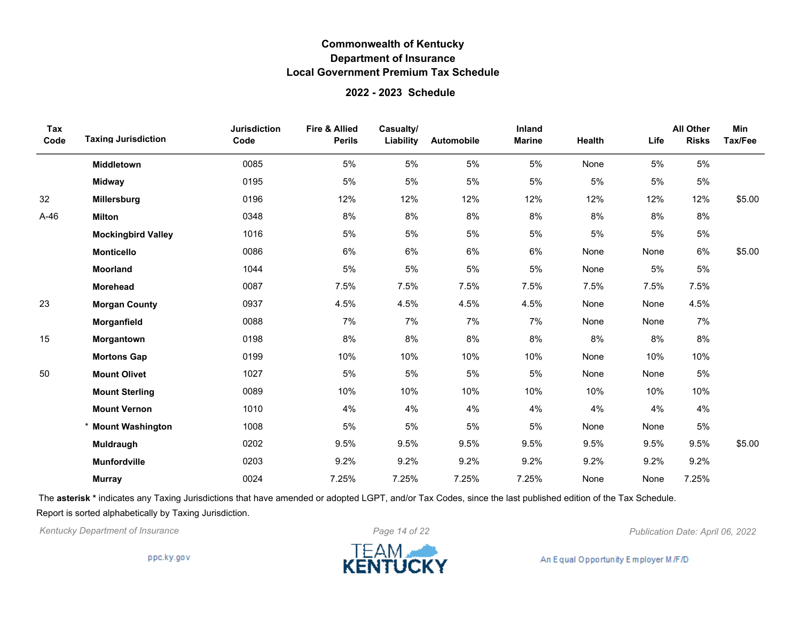### **2022 - 2023 Schedule**

| Tax<br>Code | <b>Taxing Jurisdiction</b> | <b>Jurisdiction</b><br>Code | Fire & Allied<br><b>Perils</b> | Casualty/<br>Liability | <b>Automobile</b> | Inland<br><b>Marine</b> | Health | Life | <b>All Other</b><br><b>Risks</b> | <b>Min</b><br>Tax/Fee |
|-------------|----------------------------|-----------------------------|--------------------------------|------------------------|-------------------|-------------------------|--------|------|----------------------------------|-----------------------|
|             | Middletown                 | 0085                        | 5%                             | 5%                     | 5%                | 5%                      | None   | 5%   | 5%                               |                       |
|             | <b>Midway</b>              | 0195                        | 5%                             | 5%                     | 5%                | 5%                      | 5%     | 5%   | 5%                               |                       |
| 32          | <b>Millersburg</b>         | 0196                        | 12%                            | 12%                    | 12%               | 12%                     | 12%    | 12%  | 12%                              | \$5.00                |
| $A-46$      | <b>Milton</b>              | 0348                        | 8%                             | 8%                     | 8%                | 8%                      | 8%     | 8%   | 8%                               |                       |
|             | <b>Mockingbird Valley</b>  | 1016                        | 5%                             | 5%                     | 5%                | 5%                      | 5%     | 5%   | 5%                               |                       |
|             | <b>Monticello</b>          | 0086                        | 6%                             | 6%                     | 6%                | 6%                      | None   | None | 6%                               | \$5.00                |
|             | Moorland                   | 1044                        | 5%                             | 5%                     | 5%                | 5%                      | None   | 5%   | 5%                               |                       |
|             | Morehead                   | 0087                        | 7.5%                           | 7.5%                   | 7.5%              | 7.5%                    | 7.5%   | 7.5% | 7.5%                             |                       |
| 23          | <b>Morgan County</b>       | 0937                        | 4.5%                           | 4.5%                   | 4.5%              | 4.5%                    | None   | None | 4.5%                             |                       |
|             | Morganfield                | 0088                        | 7%                             | 7%                     | 7%                | 7%                      | None   | None | 7%                               |                       |
| 15          | Morgantown                 | 0198                        | 8%                             | 8%                     | 8%                | 8%                      | 8%     | 8%   | 8%                               |                       |
|             | <b>Mortons Gap</b>         | 0199                        | 10%                            | 10%                    | 10%               | 10%                     | None   | 10%  | 10%                              |                       |
| 50          | <b>Mount Olivet</b>        | 1027                        | 5%                             | 5%                     | 5%                | 5%                      | None   | None | 5%                               |                       |
|             | <b>Mount Sterling</b>      | 0089                        | 10%                            | 10%                    | 10%               | 10%                     | 10%    | 10%  | 10%                              |                       |
|             | <b>Mount Vernon</b>        | 1010                        | 4%                             | 4%                     | 4%                | 4%                      | 4%     | 4%   | 4%                               |                       |
|             | * Mount Washington         | 1008                        | 5%                             | 5%                     | 5%                | 5%                      | None   | None | 5%                               |                       |
|             | Muldraugh                  | 0202                        | 9.5%                           | 9.5%                   | 9.5%              | 9.5%                    | 9.5%   | 9.5% | 9.5%                             | \$5.00                |
|             | Munfordville               | 0203                        | 9.2%                           | 9.2%                   | 9.2%              | 9.2%                    | 9.2%   | 9.2% | 9.2%                             |                       |
|             | <b>Murray</b>              | 0024                        | 7.25%                          | 7.25%                  | 7.25%             | 7.25%                   | None   | None | 7.25%                            |                       |

The **asterisk \*** indicates any Taxing Jurisdictions that have amended or adopted LGPT, and/or Tax Codes, since the last published edition of the Tax Schedule. Report is sorted alphabetically by Taxing Jurisdiction.

*Kentucky Department of Insurance Page 14 of 22 Publication Date: April 06, 2022*

ppc.ky.gov

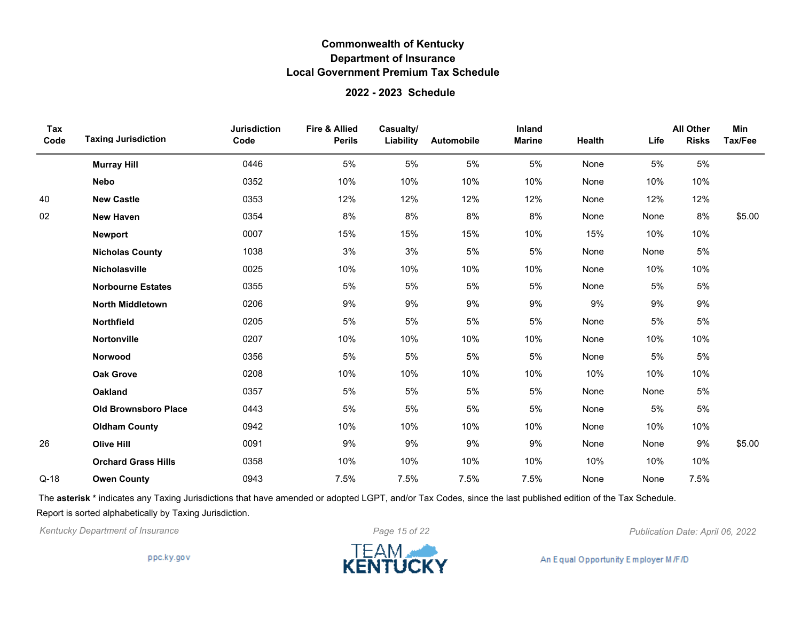### **2022 - 2023 Schedule**

| Tax<br>Code | <b>Taxing Jurisdiction</b>  | <b>Jurisdiction</b><br>Code | <b>Fire &amp; Allied</b><br><b>Perils</b> | Casualty/<br>Liability | Automobile | Inland<br><b>Marine</b> | Health | Life | <b>All Other</b><br><b>Risks</b> | <b>Min</b><br>Tax/Fee |
|-------------|-----------------------------|-----------------------------|-------------------------------------------|------------------------|------------|-------------------------|--------|------|----------------------------------|-----------------------|
|             | <b>Murray Hill</b>          | 0446                        | 5%                                        | 5%                     | 5%         | 5%                      | None   | 5%   | 5%                               |                       |
|             | <b>Nebo</b>                 | 0352                        | 10%                                       | 10%                    | 10%        | 10%                     | None   | 10%  | 10%                              |                       |
| 40          | <b>New Castle</b>           | 0353                        | 12%                                       | 12%                    | 12%        | 12%                     | None   | 12%  | 12%                              |                       |
| 02          | <b>New Haven</b>            | 0354                        | 8%                                        | 8%                     | 8%         | 8%                      | None   | None | 8%                               | \$5.00                |
|             | <b>Newport</b>              | 0007                        | 15%                                       | 15%                    | 15%        | 10%                     | 15%    | 10%  | 10%                              |                       |
|             | <b>Nicholas County</b>      | 1038                        | 3%                                        | 3%                     | 5%         | 5%                      | None   | None | 5%                               |                       |
|             | Nicholasville               | 0025                        | 10%                                       | 10%                    | 10%        | 10%                     | None   | 10%  | 10%                              |                       |
|             | <b>Norbourne Estates</b>    | 0355                        | 5%                                        | 5%                     | 5%         | 5%                      | None   | 5%   | 5%                               |                       |
|             | <b>North Middletown</b>     | 0206                        | 9%                                        | 9%                     | 9%         | 9%                      | 9%     | 9%   | 9%                               |                       |
|             | <b>Northfield</b>           | 0205                        | 5%                                        | 5%                     | 5%         | 5%                      | None   | 5%   | 5%                               |                       |
|             | <b>Nortonville</b>          | 0207                        | 10%                                       | 10%                    | 10%        | 10%                     | None   | 10%  | 10%                              |                       |
|             | Norwood                     | 0356                        | 5%                                        | 5%                     | 5%         | 5%                      | None   | 5%   | 5%                               |                       |
|             | <b>Oak Grove</b>            | 0208                        | 10%                                       | 10%                    | 10%        | 10%                     | 10%    | 10%  | 10%                              |                       |
|             | <b>Oakland</b>              | 0357                        | 5%                                        | 5%                     | 5%         | 5%                      | None   | None | 5%                               |                       |
|             | <b>Old Brownsboro Place</b> | 0443                        | 5%                                        | 5%                     | 5%         | 5%                      | None   | 5%   | 5%                               |                       |
|             | <b>Oldham County</b>        | 0942                        | 10%                                       | 10%                    | 10%        | 10%                     | None   | 10%  | 10%                              |                       |
| 26          | <b>Olive Hill</b>           | 0091                        | 9%                                        | 9%                     | 9%         | 9%                      | None   | None | 9%                               | \$5.00                |
|             | <b>Orchard Grass Hills</b>  | 0358                        | 10%                                       | 10%                    | 10%        | 10%                     | 10%    | 10%  | 10%                              |                       |
| $Q-18$      | <b>Owen County</b>          | 0943                        | 7.5%                                      | 7.5%                   | 7.5%       | 7.5%                    | None   | None | 7.5%                             |                       |

The **asterisk \*** indicates any Taxing Jurisdictions that have amended or adopted LGPT, and/or Tax Codes, since the last published edition of the Tax Schedule. Report is sorted alphabetically by Taxing Jurisdiction.

*Kentucky Department of Insurance Page 15 of 22 Publication Date: April 06, 2022*

ppc.ky.gov

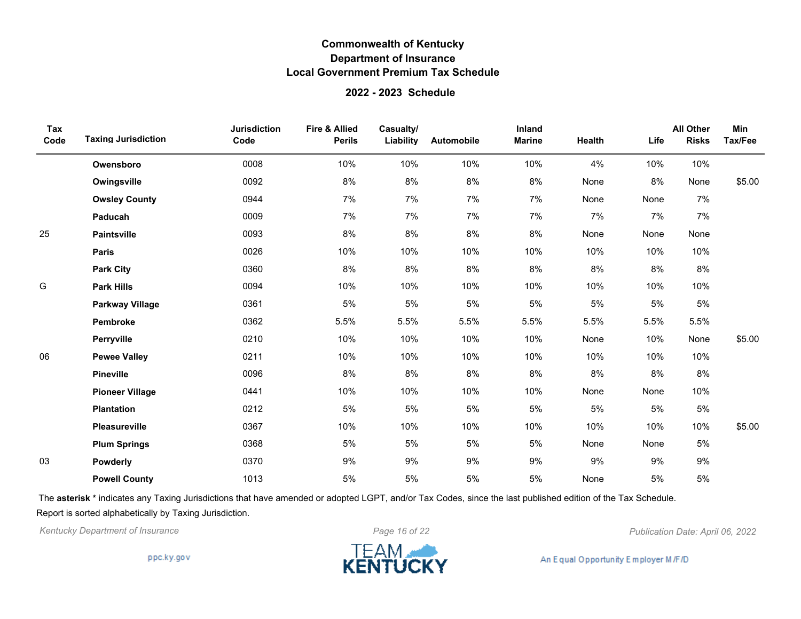### **2022 - 2023 Schedule**

| Tax<br>Code | <b>Taxing Jurisdiction</b> | <b>Jurisdiction</b><br>Code | <b>Fire &amp; Allied</b><br><b>Perils</b> | Casualty/<br>Liability | Automobile | Inland<br><b>Marine</b> | Health | Life | <b>All Other</b><br><b>Risks</b> | Min<br>Tax/Fee |
|-------------|----------------------------|-----------------------------|-------------------------------------------|------------------------|------------|-------------------------|--------|------|----------------------------------|----------------|
|             | Owensboro                  | 0008                        | 10%                                       | 10%                    | 10%        | 10%                     | 4%     | 10%  | 10%                              |                |
|             | Owingsville                | 0092                        | 8%                                        | 8%                     | 8%         | 8%                      | None   | 8%   | None                             | \$5.00         |
|             | <b>Owsley County</b>       | 0944                        | 7%                                        | 7%                     | 7%         | 7%                      | None   | None | 7%                               |                |
|             | Paducah                    | 0009                        | 7%                                        | 7%                     | 7%         | 7%                      | 7%     | 7%   | 7%                               |                |
| 25          | <b>Paintsville</b>         | 0093                        | $8%$                                      | 8%                     | 8%         | 8%                      | None   | None | None                             |                |
|             | <b>Paris</b>               | 0026                        | 10%                                       | 10%                    | 10%        | 10%                     | 10%    | 10%  | 10%                              |                |
|             | <b>Park City</b>           | 0360                        | 8%                                        | 8%                     | 8%         | 8%                      | 8%     | 8%   | 8%                               |                |
| G           | <b>Park Hills</b>          | 0094                        | 10%                                       | 10%                    | 10%        | 10%                     | 10%    | 10%  | 10%                              |                |
|             | <b>Parkway Village</b>     | 0361                        | 5%                                        | $5\%$                  | 5%         | 5%                      | 5%     | 5%   | 5%                               |                |
|             | Pembroke                   | 0362                        | 5.5%                                      | 5.5%                   | 5.5%       | 5.5%                    | 5.5%   | 5.5% | 5.5%                             |                |
|             | Perryville                 | 0210                        | 10%                                       | 10%                    | 10%        | 10%                     | None   | 10%  | None                             | \$5.00         |
| 06          | <b>Pewee Valley</b>        | 0211                        | 10%                                       | 10%                    | 10%        | 10%                     | 10%    | 10%  | 10%                              |                |
|             | <b>Pineville</b>           | 0096                        | 8%                                        | 8%                     | 8%         | 8%                      | 8%     | 8%   | 8%                               |                |
|             | <b>Pioneer Village</b>     | 0441                        | 10%                                       | 10%                    | 10%        | 10%                     | None   | None | 10%                              |                |
|             | <b>Plantation</b>          | 0212                        | 5%                                        | $5\%$                  | 5%         | 5%                      | 5%     | 5%   | 5%                               |                |
|             | Pleasureville              | 0367                        | 10%                                       | 10%                    | 10%        | 10%                     | 10%    | 10%  | 10%                              | \$5.00         |
|             | <b>Plum Springs</b>        | 0368                        | 5%                                        | 5%                     | 5%         | 5%                      | None   | None | 5%                               |                |
| 03          | <b>Powderly</b>            | 0370                        | 9%                                        | 9%                     | 9%         | 9%                      | 9%     | 9%   | 9%                               |                |
|             | <b>Powell County</b>       | 1013                        | 5%                                        | 5%                     | 5%         | 5%                      | None   | 5%   | 5%                               |                |

The **asterisk \*** indicates any Taxing Jurisdictions that have amended or adopted LGPT, and/or Tax Codes, since the last published edition of the Tax Schedule. Report is sorted alphabetically by Taxing Jurisdiction.

*Kentucky Department of Insurance Page 16 of 22 Publication Date: April 06, 2022*

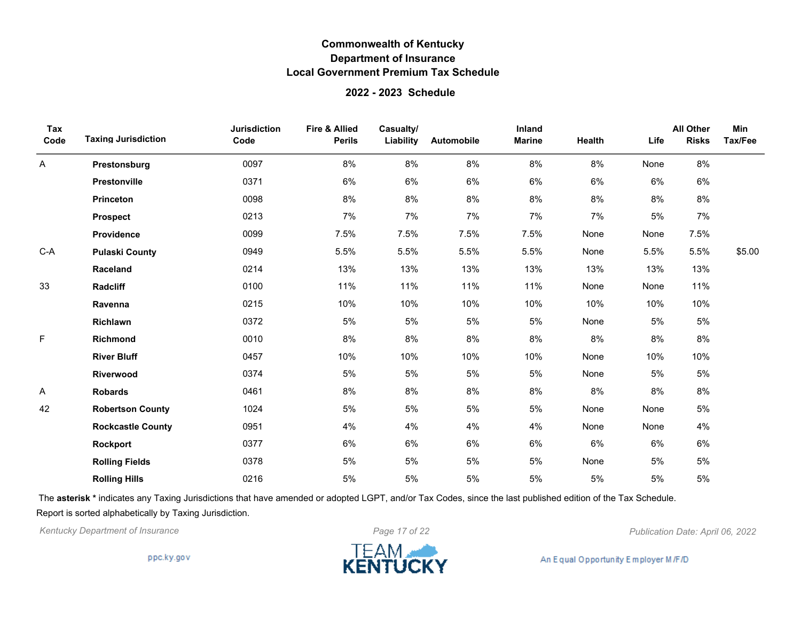### **2022 - 2023 Schedule**

| Tax<br>Code | <b>Taxing Jurisdiction</b> | <b>Jurisdiction</b><br>Code | Fire & Allied<br><b>Perils</b> | Casualty/<br>Liability | Automobile | Inland<br><b>Marine</b> | Health | Life | <b>All Other</b><br><b>Risks</b> | <b>Min</b><br>Tax/Fee |
|-------------|----------------------------|-----------------------------|--------------------------------|------------------------|------------|-------------------------|--------|------|----------------------------------|-----------------------|
| Α           | Prestonsburg               | 0097                        | 8%                             | 8%                     | 8%         | 8%                      | 8%     | None | 8%                               |                       |
|             | Prestonville               | 0371                        | 6%                             | 6%                     | 6%         | 6%                      | 6%     | 6%   | 6%                               |                       |
|             | Princeton                  | 0098                        | 8%                             | 8%                     | 8%         | 8%                      | 8%     | 8%   | 8%                               |                       |
|             | <b>Prospect</b>            | 0213                        | 7%                             | 7%                     | 7%         | 7%                      | 7%     | 5%   | 7%                               |                       |
|             | Providence                 | 0099                        | 7.5%                           | 7.5%                   | 7.5%       | 7.5%                    | None   | None | 7.5%                             |                       |
| $C-A$       | <b>Pulaski County</b>      | 0949                        | 5.5%                           | 5.5%                   | 5.5%       | 5.5%                    | None   | 5.5% | 5.5%                             | \$5.00                |
|             | Raceland                   | 0214                        | 13%                            | 13%                    | 13%        | 13%                     | 13%    | 13%  | 13%                              |                       |
| 33          | <b>Radcliff</b>            | 0100                        | 11%                            | 11%                    | 11%        | 11%                     | None   | None | 11%                              |                       |
|             | Ravenna                    | 0215                        | 10%                            | 10%                    | 10%        | 10%                     | 10%    | 10%  | 10%                              |                       |
|             | Richlawn                   | 0372                        | 5%                             | 5%                     | 5%         | 5%                      | None   | 5%   | 5%                               |                       |
| F           | Richmond                   | 0010                        | 8%                             | 8%                     | 8%         | 8%                      | 8%     | 8%   | 8%                               |                       |
|             | <b>River Bluff</b>         | 0457                        | 10%                            | 10%                    | 10%        | 10%                     | None   | 10%  | 10%                              |                       |
|             | Riverwood                  | 0374                        | 5%                             | 5%                     | 5%         | 5%                      | None   | 5%   | $5\%$                            |                       |
| Α           | <b>Robards</b>             | 0461                        | 8%                             | 8%                     | 8%         | 8%                      | $8\%$  | 8%   | 8%                               |                       |
| 42          | <b>Robertson County</b>    | 1024                        | 5%                             | 5%                     | 5%         | 5%                      | None   | None | 5%                               |                       |
|             | <b>Rockcastle County</b>   | 0951                        | 4%                             | 4%                     | 4%         | 4%                      | None   | None | 4%                               |                       |
|             | Rockport                   | 0377                        | 6%                             | 6%                     | 6%         | 6%                      | 6%     | 6%   | 6%                               |                       |
|             | <b>Rolling Fields</b>      | 0378                        | 5%                             | 5%                     | 5%         | 5%                      | None   | 5%   | 5%                               |                       |
|             | <b>Rolling Hills</b>       | 0216                        | 5%                             | 5%                     | 5%         | 5%                      | 5%     | 5%   | 5%                               |                       |

The **asterisk \*** indicates any Taxing Jurisdictions that have amended or adopted LGPT, and/or Tax Codes, since the last published edition of the Tax Schedule. Report is sorted alphabetically by Taxing Jurisdiction.

*Kentucky Department of Insurance Page 17 of 22 Publication Date: April 06, 2022*

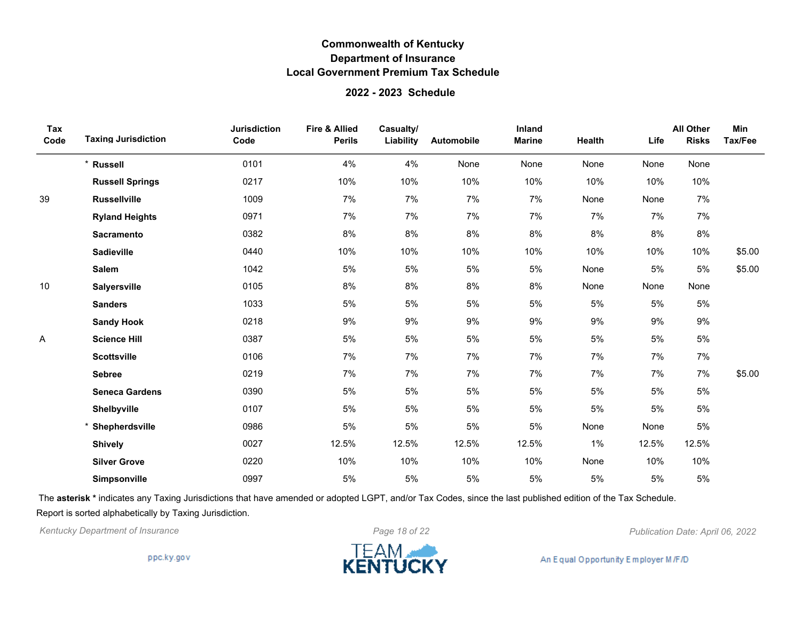### **2022 - 2023 Schedule**

| Tax<br>Code | <b>Taxing Jurisdiction</b> | <b>Jurisdiction</b><br>Code | <b>Fire &amp; Allied</b><br><b>Perils</b> | Casualty/<br>Liability | <b>Automobile</b> | Inland<br><b>Marine</b> | Health | Life  | <b>All Other</b><br><b>Risks</b> | Min<br>Tax/Fee |
|-------------|----------------------------|-----------------------------|-------------------------------------------|------------------------|-------------------|-------------------------|--------|-------|----------------------------------|----------------|
|             | * Russell                  | 0101                        | 4%                                        | 4%                     | None              | None                    | None   | None  | None                             |                |
|             | <b>Russell Springs</b>     | 0217                        | 10%                                       | 10%                    | 10%               | 10%                     | 10%    | 10%   | 10%                              |                |
| 39          | <b>Russellville</b>        | 1009                        | 7%                                        | 7%                     | 7%                | 7%                      | None   | None  | 7%                               |                |
|             | <b>Ryland Heights</b>      | 0971                        | 7%                                        | 7%                     | 7%                | 7%                      | 7%     | 7%    | 7%                               |                |
|             | <b>Sacramento</b>          | 0382                        | 8%                                        | 8%                     | 8%                | 8%                      | 8%     | 8%    | 8%                               |                |
|             | <b>Sadieville</b>          | 0440                        | 10%                                       | 10%                    | 10%               | 10%                     | 10%    | 10%   | 10%                              | \$5.00         |
|             | <b>Salem</b>               | 1042                        | 5%                                        | 5%                     | 5%                | 5%                      | None   | 5%    | 5%                               | \$5.00         |
| 10          | <b>Salyersville</b>        | 0105                        | 8%                                        | 8%                     | $8\%$             | 8%                      | None   | None  | None                             |                |
|             | <b>Sanders</b>             | 1033                        | 5%                                        | $5\%$                  | 5%                | 5%                      | 5%     | 5%    | $5\%$                            |                |
|             | <b>Sandy Hook</b>          | 0218                        | 9%                                        | 9%                     | 9%                | 9%                      | 9%     | 9%    | 9%                               |                |
| A           | <b>Science Hill</b>        | 0387                        | 5%                                        | 5%                     | 5%                | 5%                      | 5%     | 5%    | 5%                               |                |
|             | <b>Scottsville</b>         | 0106                        | 7%                                        | 7%                     | 7%                | 7%                      | 7%     | 7%    | 7%                               |                |
|             | <b>Sebree</b>              | 0219                        | 7%                                        | 7%                     | 7%                | 7%                      | 7%     | 7%    | 7%                               | \$5.00         |
|             | <b>Seneca Gardens</b>      | 0390                        | 5%                                        | $5\%$                  | 5%                | 5%                      | 5%     | 5%    | $5\%$                            |                |
|             | Shelbyville                | 0107                        | 5%                                        | 5%                     | 5%                | 5%                      | 5%     | 5%    | 5%                               |                |
|             | * Shepherdsville           | 0986                        | 5%                                        | 5%                     | 5%                | 5%                      | None   | None  | 5%                               |                |
|             | <b>Shively</b>             | 0027                        | 12.5%                                     | 12.5%                  | 12.5%             | 12.5%                   | 1%     | 12.5% | 12.5%                            |                |
|             | <b>Silver Grove</b>        | 0220                        | 10%                                       | 10%                    | 10%               | 10%                     | None   | 10%   | 10%                              |                |
|             | <b>Simpsonville</b>        | 0997                        | 5%                                        | 5%                     | 5%                | 5%                      | 5%     | 5%    | 5%                               |                |

The **asterisk \*** indicates any Taxing Jurisdictions that have amended or adopted LGPT, and/or Tax Codes, since the last published edition of the Tax Schedule. Report is sorted alphabetically by Taxing Jurisdiction.

*Kentucky Department of Insurance Page 18 of 22 Publication Date: April 06, 2022*

ppc.ky.gov

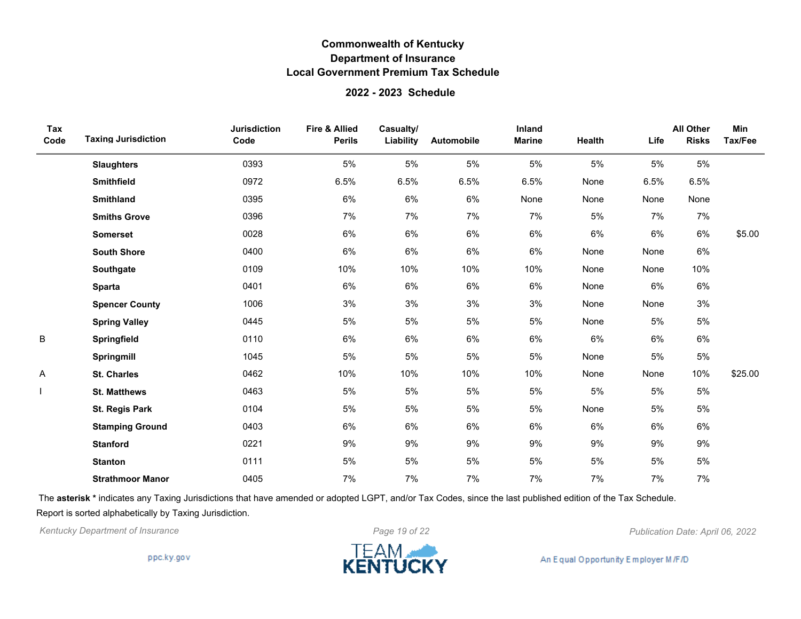#### **2022 - 2023 Schedule**

| Tax<br>Code | <b>Taxing Jurisdiction</b> | <b>Jurisdiction</b><br>Code | <b>Fire &amp; Allied</b><br><b>Perils</b> | Casualty/<br>Liability | Automobile | Inland<br><b>Marine</b> | <b>Health</b> | Life | <b>All Other</b><br><b>Risks</b> | Min<br>Tax/Fee |
|-------------|----------------------------|-----------------------------|-------------------------------------------|------------------------|------------|-------------------------|---------------|------|----------------------------------|----------------|
|             | <b>Slaughters</b>          | 0393                        | 5%                                        | 5%                     | 5%         | 5%                      | 5%            | 5%   | 5%                               |                |
|             | <b>Smithfield</b>          | 0972                        | 6.5%                                      | 6.5%                   | 6.5%       | 6.5%                    | None          | 6.5% | 6.5%                             |                |
|             | <b>Smithland</b>           | 0395                        | 6%                                        | $6\%$                  | 6%         | None                    | None          | None | None                             |                |
|             | <b>Smiths Grove</b>        | 0396                        | 7%                                        | 7%                     | 7%         | 7%                      | 5%            | 7%   | 7%                               |                |
|             | <b>Somerset</b>            | 0028                        | 6%                                        | 6%                     | 6%         | 6%                      | $6\%$         | 6%   | 6%                               | \$5.00         |
|             | <b>South Shore</b>         | 0400                        | 6%                                        | 6%                     | 6%         | 6%                      | None          | None | 6%                               |                |
|             | Southgate                  | 0109                        | 10%                                       | 10%                    | 10%        | 10%                     | None          | None | 10%                              |                |
|             | <b>Sparta</b>              | 0401                        | 6%                                        | $6\%$                  | 6%         | 6%                      | None          | 6%   | 6%                               |                |
|             | <b>Spencer County</b>      | 1006                        | 3%                                        | $3%$                   | 3%         | 3%                      | None          | None | 3%                               |                |
|             | <b>Spring Valley</b>       | 0445                        | 5%                                        | 5%                     | 5%         | 5%                      | None          | 5%   | 5%                               |                |
| B           | Springfield                | 0110                        | 6%                                        | 6%                     | 6%         | 6%                      | 6%            | 6%   | 6%                               |                |
|             | Springmill                 | 1045                        | 5%                                        | 5%                     | 5%         | 5%                      | None          | 5%   | 5%                               |                |
| A           | <b>St. Charles</b>         | 0462                        | 10%                                       | 10%                    | 10%        | 10%                     | None          | None | 10%                              | \$25.00        |
|             | <b>St. Matthews</b>        | 0463                        | 5%                                        | $5\%$                  | 5%         | 5%                      | 5%            | 5%   | 5%                               |                |
|             | St. Regis Park             | 0104                        | 5%                                        | $5\%$                  | 5%         | 5%                      | None          | 5%   | 5%                               |                |
|             | <b>Stamping Ground</b>     | 0403                        | 6%                                        | 6%                     | 6%         | 6%                      | 6%            | 6%   | 6%                               |                |
|             | <b>Stanford</b>            | 0221                        | 9%                                        | 9%                     | 9%         | 9%                      | 9%            | 9%   | 9%                               |                |
|             | <b>Stanton</b>             | 0111                        | 5%                                        | $5\%$                  | 5%         | 5%                      | 5%            | 5%   | 5%                               |                |
|             | <b>Strathmoor Manor</b>    | 0405                        | 7%                                        | 7%                     | 7%         | 7%                      | 7%            | 7%   | 7%                               |                |

The **asterisk \*** indicates any Taxing Jurisdictions that have amended or adopted LGPT, and/or Tax Codes, since the last published edition of the Tax Schedule. Report is sorted alphabetically by Taxing Jurisdiction.

*Kentucky Department of Insurance Page 19 of 22 Publication Date: April 06, 2022*

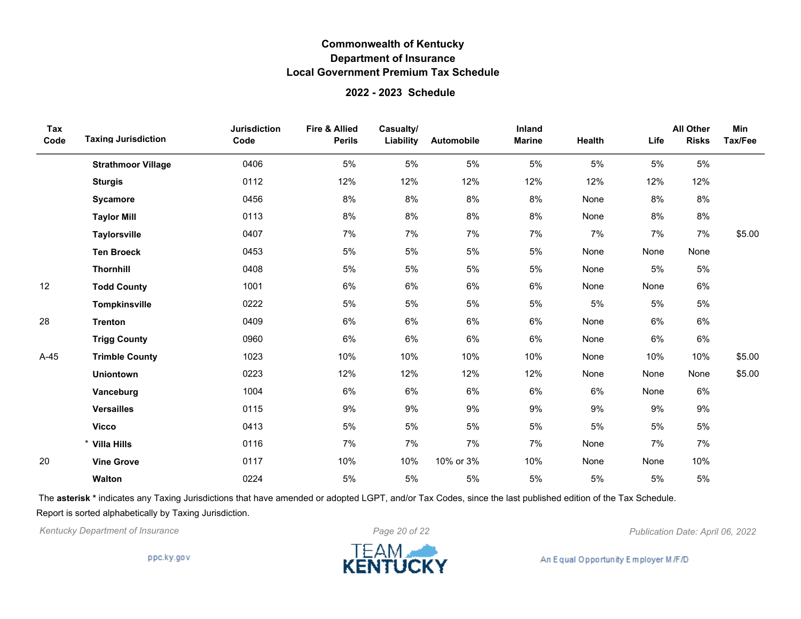### **2022 - 2023 Schedule**

| Tax<br>Code | <b>Taxing Jurisdiction</b> | <b>Jurisdiction</b><br>Code | <b>Fire &amp; Allied</b><br><b>Perils</b> | Casualty/<br>Liability | Automobile | Inland<br><b>Marine</b> | Health | Life | <b>All Other</b><br><b>Risks</b> | Min<br>Tax/Fee |
|-------------|----------------------------|-----------------------------|-------------------------------------------|------------------------|------------|-------------------------|--------|------|----------------------------------|----------------|
|             | <b>Strathmoor Village</b>  | 0406                        | 5%                                        | 5%                     | 5%         | 5%                      | 5%     | 5%   | 5%                               |                |
|             | <b>Sturgis</b>             | 0112                        | 12%                                       | 12%                    | 12%        | 12%                     | 12%    | 12%  | 12%                              |                |
|             | Sycamore                   | 0456                        | 8%                                        | 8%                     | 8%         | 8%                      | None   | 8%   | 8%                               |                |
|             | <b>Taylor Mill</b>         | 0113                        | 8%                                        | 8%                     | 8%         | 8%                      | None   | 8%   | 8%                               |                |
|             | <b>Taylorsville</b>        | 0407                        | 7%                                        | 7%                     | 7%         | 7%                      | 7%     | 7%   | 7%                               | \$5.00         |
|             | <b>Ten Broeck</b>          | 0453                        | 5%                                        | $5\%$                  | 5%         | 5%                      | None   | None | None                             |                |
|             | <b>Thornhill</b>           | 0408                        | 5%                                        | $5\%$                  | 5%         | 5%                      | None   | 5%   | 5%                               |                |
| 12          | <b>Todd County</b>         | 1001                        | 6%                                        | 6%                     | 6%         | 6%                      | None   | None | 6%                               |                |
|             | Tompkinsville              | 0222                        | 5%                                        | $5\%$                  | 5%         | 5%                      | 5%     | 5%   | 5%                               |                |
| 28          | <b>Trenton</b>             | 0409                        | 6%                                        | 6%                     | 6%         | 6%                      | None   | 6%   | 6%                               |                |
|             | <b>Trigg County</b>        | 0960                        | 6%                                        | 6%                     | 6%         | 6%                      | None   | 6%   | 6%                               |                |
| $A-45$      | <b>Trimble County</b>      | 1023                        | 10%                                       | 10%                    | 10%        | 10%                     | None   | 10%  | 10%                              | \$5.00         |
|             | <b>Uniontown</b>           | 0223                        | 12%                                       | 12%                    | 12%        | 12%                     | None   | None | None                             | \$5.00         |
|             | Vanceburg                  | 1004                        | 6%                                        | $6\%$                  | 6%         | 6%                      | $6\%$  | None | 6%                               |                |
|             | <b>Versailles</b>          | 0115                        | 9%                                        | 9%                     | 9%         | 9%                      | 9%     | 9%   | 9%                               |                |
|             | <b>Vicco</b>               | 0413                        | 5%                                        | 5%                     | 5%         | 5%                      | 5%     | 5%   | 5%                               |                |
|             | * Villa Hills              | 0116                        | 7%                                        | 7%                     | 7%         | 7%                      | None   | 7%   | 7%                               |                |
| 20          | <b>Vine Grove</b>          | 0117                        | 10%                                       | 10%                    | 10% or 3%  | 10%                     | None   | None | 10%                              |                |
|             | Walton                     | 0224                        | 5%                                        | $5\%$                  | 5%         | 5%                      | 5%     | 5%   | 5%                               |                |

The **asterisk \*** indicates any Taxing Jurisdictions that have amended or adopted LGPT, and/or Tax Codes, since the last published edition of the Tax Schedule. Report is sorted alphabetically by Taxing Jurisdiction.

*Kentucky Department of Insurance Page 20 of 22 Publication Date: April 06, 2022*

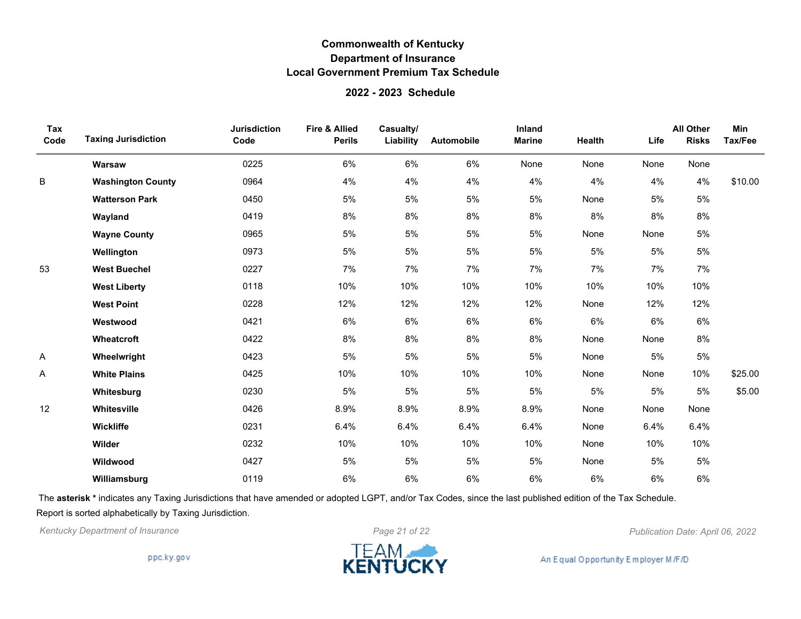#### **2022 - 2023 Schedule**

| Tax<br>Code | <b>Taxing Jurisdiction</b> | <b>Jurisdiction</b><br>Code | <b>Fire &amp; Allied</b><br><b>Perils</b> | Casualty/<br>Liability | Automobile | Inland<br><b>Marine</b> | Health | Life | <b>All Other</b><br><b>Risks</b> | Min<br>Tax/Fee |
|-------------|----------------------------|-----------------------------|-------------------------------------------|------------------------|------------|-------------------------|--------|------|----------------------------------|----------------|
|             | Warsaw                     | 0225                        | 6%                                        | 6%                     | 6%         | None                    | None   | None | None                             |                |
| B           | <b>Washington County</b>   | 0964                        | 4%                                        | 4%                     | 4%         | 4%                      | 4%     | 4%   | 4%                               | \$10.00        |
|             | <b>Watterson Park</b>      | 0450                        | 5%                                        | $5\%$                  | 5%         | 5%                      | None   | 5%   | 5%                               |                |
|             | Wayland                    | 0419                        | 8%                                        | 8%                     | 8%         | $8\%$                   | 8%     | 8%   | 8%                               |                |
|             | <b>Wayne County</b>        | 0965                        | 5%                                        | 5%                     | 5%         | 5%                      | None   | None | 5%                               |                |
|             | Wellington                 | 0973                        | 5%                                        | 5%                     | 5%         | 5%                      | 5%     | 5%   | 5%                               |                |
| 53          | <b>West Buechel</b>        | 0227                        | 7%                                        | 7%                     | 7%         | 7%                      | 7%     | 7%   | 7%                               |                |
|             | <b>West Liberty</b>        | 0118                        | 10%                                       | 10%                    | 10%        | 10%                     | 10%    | 10%  | 10%                              |                |
|             | <b>West Point</b>          | 0228                        | 12%                                       | 12%                    | 12%        | 12%                     | None   | 12%  | 12%                              |                |
|             | Westwood                   | 0421                        | 6%                                        | 6%                     | 6%         | 6%                      | 6%     | 6%   | 6%                               |                |
|             | Wheatcroft                 | 0422                        | 8%                                        | 8%                     | 8%         | $8\%$                   | None   | None | 8%                               |                |
| A           | Wheelwright                | 0423                        | 5%                                        | 5%                     | 5%         | 5%                      | None   | 5%   | 5%                               |                |
| A           | <b>White Plains</b>        | 0425                        | 10%                                       | 10%                    | 10%        | 10%                     | None   | None | 10%                              | \$25.00        |
|             | Whitesburg                 | 0230                        | 5%                                        | $5\%$                  | 5%         | 5%                      | 5%     | 5%   | 5%                               | \$5.00         |
| 12          | Whitesville                | 0426                        | 8.9%                                      | 8.9%                   | 8.9%       | 8.9%                    | None   | None | None                             |                |
|             | Wickliffe                  | 0231                        | 6.4%                                      | 6.4%                   | 6.4%       | 6.4%                    | None   | 6.4% | 6.4%                             |                |
|             | Wilder                     | 0232                        | 10%                                       | 10%                    | 10%        | 10%                     | None   | 10%  | 10%                              |                |
|             | Wildwood                   | 0427                        | 5%                                        | $5\%$                  | 5%         | 5%                      | None   | 5%   | 5%                               |                |
|             | Williamsburg               | 0119                        | 6%                                        | 6%                     | 6%         | 6%                      | 6%     | 6%   | 6%                               |                |

The **asterisk \*** indicates any Taxing Jurisdictions that have amended or adopted LGPT, and/or Tax Codes, since the last published edition of the Tax Schedule. Report is sorted alphabetically by Taxing Jurisdiction.

*Kentucky Department of Insurance Page 21 of 22 Publication Date: April 06, 2022*